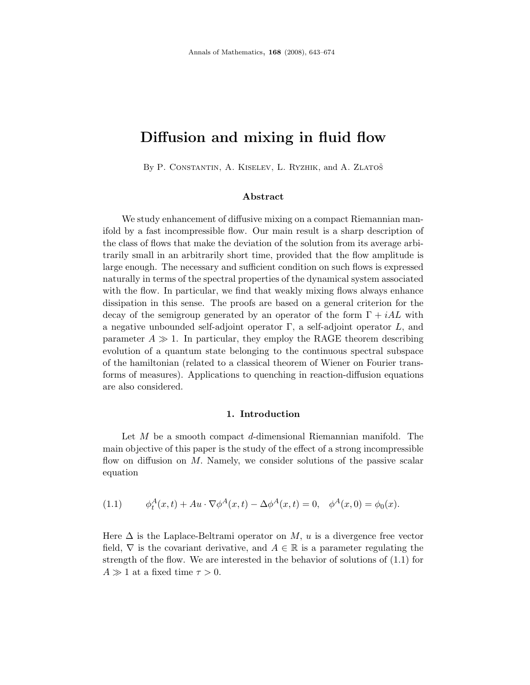# Diffusion and mixing in fluid flow

By P. CONSTANTIN, A. KISELEV, L. RYZHIK, and A. ZLATOŠ

## Abstract

We study enhancement of diffusive mixing on a compact Riemannian manifold by a fast incompressible flow. Our main result is a sharp description of the class of flows that make the deviation of the solution from its average arbitrarily small in an arbitrarily short time, provided that the flow amplitude is large enough. The necessary and sufficient condition on such flows is expressed naturally in terms of the spectral properties of the dynamical system associated with the flow. In particular, we find that weakly mixing flows always enhance dissipation in this sense. The proofs are based on a general criterion for the decay of the semigroup generated by an operator of the form  $\Gamma + iAL$  with a negative unbounded self-adjoint operator  $\Gamma$ , a self-adjoint operator  $L$ , and parameter  $A \gg 1$ . In particular, they employ the RAGE theorem describing evolution of a quantum state belonging to the continuous spectral subspace of the hamiltonian (related to a classical theorem of Wiener on Fourier transforms of measures). Applications to quenching in reaction-diffusion equations are also considered.

# 1. Introduction

Let  $M$  be a smooth compact  $d$ -dimensional Riemannian manifold. The main objective of this paper is the study of the effect of a strong incompressible flow on diffusion on  $M$ . Namely, we consider solutions of the passive scalar equation

(1.1) 
$$
\phi_t^A(x,t) + Au \cdot \nabla \phi^A(x,t) - \Delta \phi^A(x,t) = 0, \quad \phi^A(x,0) = \phi_0(x).
$$

Here  $\Delta$  is the Laplace-Beltrami operator on M, u is a divergence free vector field,  $\nabla$  is the covariant derivative, and  $A \in \mathbb{R}$  is a parameter regulating the strength of the flow. We are interested in the behavior of solutions of (1.1) for  $A \gg 1$  at a fixed time  $\tau > 0$ .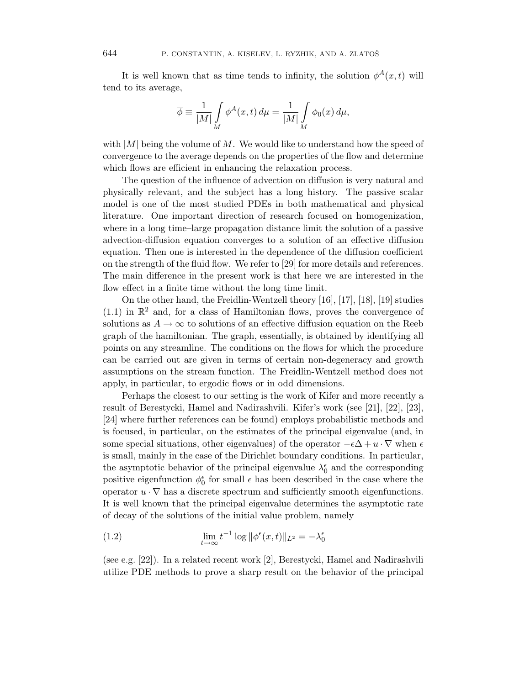It is well known that as time tends to infinity, the solution  $\phi^A(x,t)$  will tend to its average,

$$
\overline{\phi} \equiv \frac{1}{|M|} \int\limits_M \phi^A(x, t) \, d\mu = \frac{1}{|M|} \int\limits_M \phi_0(x) \, d\mu,
$$

with  $|M|$  being the volume of M. We would like to understand how the speed of convergence to the average depends on the properties of the flow and determine which flows are efficient in enhancing the relaxation process.

The question of the influence of advection on diffusion is very natural and physically relevant, and the subject has a long history. The passive scalar model is one of the most studied PDEs in both mathematical and physical literature. One important direction of research focused on homogenization, where in a long time–large propagation distance limit the solution of a passive advection-diffusion equation converges to a solution of an effective diffusion equation. Then one is interested in the dependence of the diffusion coefficient on the strength of the fluid flow. We refer to [29] for more details and references. The main difference in the present work is that here we are interested in the flow effect in a finite time without the long time limit.

On the other hand, the Freidlin-Wentzell theory [16], [17], [18], [19] studies  $(1.1)$  in  $\mathbb{R}^2$  and, for a class of Hamiltonian flows, proves the convergence of solutions as  $A \to \infty$  to solutions of an effective diffusion equation on the Reeb graph of the hamiltonian. The graph, essentially, is obtained by identifying all points on any streamline. The conditions on the flows for which the procedure can be carried out are given in terms of certain non-degeneracy and growth assumptions on the stream function. The Freidlin-Wentzell method does not apply, in particular, to ergodic flows or in odd dimensions.

Perhaps the closest to our setting is the work of Kifer and more recently a result of Berestycki, Hamel and Nadirashvili. Kifer's work (see [21], [22], [23], [24] where further references can be found) employs probabilistic methods and is focused, in particular, on the estimates of the principal eigenvalue (and, in some special situations, other eigenvalues) of the operator  $-\epsilon\Delta + u \cdot \nabla$  when  $\epsilon$ is small, mainly in the case of the Dirichlet boundary conditions. In particular, the asymptotic behavior of the principal eigenvalue  $\lambda_0^\epsilon$  and the corresponding positive eigenfunction  $\phi_0^{\epsilon}$  for small  $\epsilon$  has been described in the case where the operator  $u \cdot \nabla$  has a discrete spectrum and sufficiently smooth eigenfunctions. It is well known that the principal eigenvalue determines the asymptotic rate of decay of the solutions of the initial value problem, namely

(1.2) 
$$
\lim_{t \to \infty} t^{-1} \log \|\phi^{\epsilon}(x, t)\|_{L^2} = -\lambda_0^{\epsilon}
$$

(see e.g. [22]). In a related recent work [2], Berestycki, Hamel and Nadirashvili utilize PDE methods to prove a sharp result on the behavior of the principal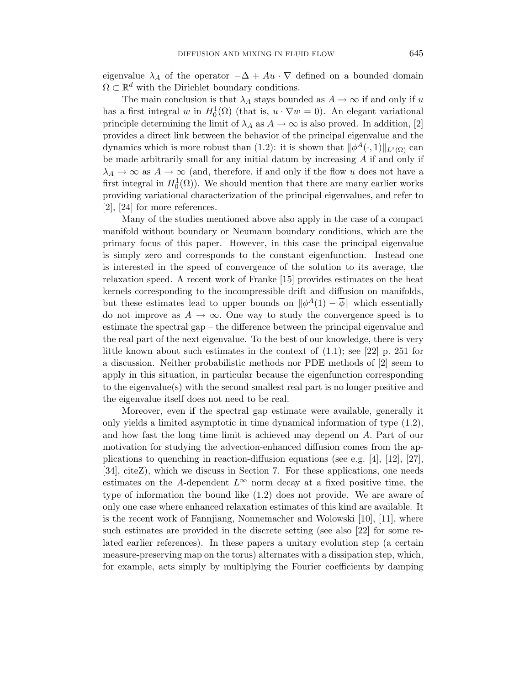eigenvalue  $\lambda_A$  of the operator  $-\Delta + Au \cdot \nabla$  defined on a bounded domain  $\Omega \subset \mathbb{R}^d$  with the Dirichlet boundary conditions.

The main conclusion is that  $\lambda_A$  stays bounded as  $A \to \infty$  if and only if u has a first integral w in  $H_0^1(\Omega)$  (that is,  $u \cdot \nabla w = 0$ ). An elegant variational principle determining the limit of  $\lambda_A$  as  $A \to \infty$  is also proved. In addition, [2] provides a direct link between the behavior of the principal eigenvalue and the dynamics which is more robust than (1.2): it is shown that  $\|\phi^A(\cdot, 1)\|_{L^2(\Omega)}$  can be made arbitrarily small for any initial datum by increasing  $A$  if and only if  $\lambda_A \to \infty$  as  $A \to \infty$  (and, therefore, if and only if the flow u does not have a first integral in  $H_0^1(\Omega)$ ). We should mention that there are many earlier works providing variational characterization of the principal eigenvalues, and refer to [2], [24] for more references.

Many of the studies mentioned above also apply in the case of a compact manifold without boundary or Neumann boundary conditions, which are the primary focus of this paper. However, in this case the principal eigenvalue is simply zero and corresponds to the constant eigenfunction. Instead one is interested in the speed of convergence of the solution to its average, the relaxation speed. A recent work of Franke [15] provides estimates on the heat kernels corresponding to the incompressible drift and diffusion on manifolds, but these estimates lead to upper bounds on  $\|\phi^A(1) - \overline{\phi}\|$  which essentially do not improve as  $A \to \infty$ . One way to study the convergence speed is to estimate the spectral gap – the difference between the principal eigenvalue and the real part of the next eigenvalue. To the best of our knowledge, there is very little known about such estimates in the context of (1.1); see [22] p. 251 for a discussion. Neither probabilistic methods nor PDE methods of [2] seem to apply in this situation, in particular because the eigenfunction corresponding to the eigenvalue(s) with the second smallest real part is no longer positive and the eigenvalue itself does not need to be real.

Moreover, even if the spectral gap estimate were available, generally it only yields a limited asymptotic in time dynamical information of type (1.2), and how fast the long time limit is achieved may depend on A. Part of our motivation for studying the advection-enhanced diffusion comes from the applications to quenching in reaction-diffusion equations (see e.g. [4], [12], [27], [34], citeZ), which we discuss in Section 7. For these applications, one needs estimates on the A-dependent  $L^{\infty}$  norm decay at a fixed positive time, the type of information the bound like (1.2) does not provide. We are aware of only one case where enhanced relaxation estimates of this kind are available. It is the recent work of Fannjiang, Nonnemacher and Wolowski [10], [11], where such estimates are provided in the discrete setting (see also [22] for some related earlier references). In these papers a unitary evolution step (a certain measure-preserving map on the torus) alternates with a dissipation step, which, for example, acts simply by multiplying the Fourier coefficients by damping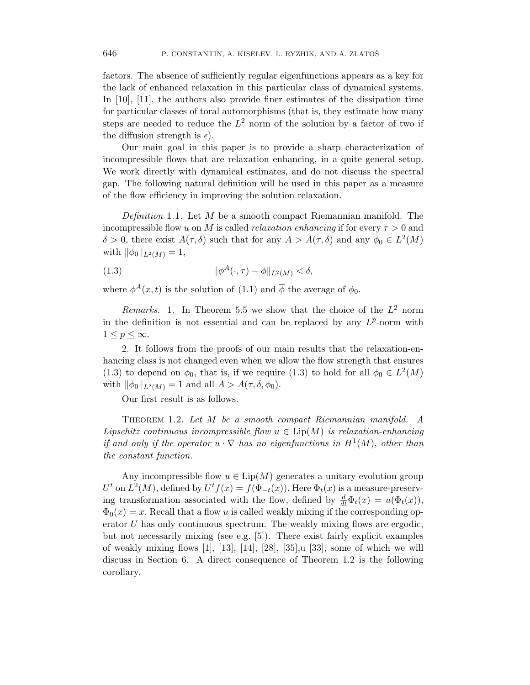factors. The absence of sufficiently regular eigenfunctions appears as a key for the lack of enhanced relaxation in this particular class of dynamical systems. In [10], [11], the authors also provide finer estimates of the dissipation time for particular classes of toral automorphisms (that is, they estimate how many steps are needed to reduce the  $L^2$  norm of the solution by a factor of two if the diffusion strength is  $\epsilon$ ).

Our main goal in this paper is to provide a sharp characterization of incompressible flows that are relaxation enhancing, in a quite general setup. We work directly with dynamical estimates, and do not discuss the spectral gap. The following natural definition will be used in this paper as a measure of the flow efficiency in improving the solution relaxation.

Definition 1.1. Let M be a smooth compact Riemannian manifold. The incompressible flow u on M is called *relaxation enhancing* if for every  $\tau > 0$  and  $\delta > 0$ , there exist  $A(\tau, \delta)$  such that for any  $A > A(\tau, \delta)$  and any  $\phi_0 \in L^2(M)$ with  $\|\phi_0\|_{L^2(M)} = 1$ ,

(1.3) 
$$
\|\phi^A(\cdot,\tau)-\overline{\phi}\|_{L^2(M)} < \delta,
$$

where  $\phi^{A}(x,t)$  is the solution of (1.1) and  $\overline{\phi}$  the average of  $\phi_0$ .

Remarks. 1. In Theorem 5.5 we show that the choice of the  $L^2$  norm in the definition is not essential and can be replaced by any  $L^p$ -norm with  $1 \leq p \leq \infty$ .

2. It follows from the proofs of our main results that the relaxation-enhancing class is not changed even when we allow the flow strength that ensures (1.3) to depend on  $\phi_0$ , that is, if we require (1.3) to hold for all  $\phi_0 \in L^2(M)$ with  $\|\phi_0\|_{L^2(M)} = 1$  and all  $A > A(\tau, \delta, \phi_0)$ .

Our first result is as follows.

THEOREM 1.2. Let M be a smooth compact Riemannian manifold. A Lipschitz continuous incompressible flow  $u \in \text{Lip}(M)$  is relaxation-enhancing if and only if the operator  $u \cdot \nabla$  has no eigenfunctions in  $H^1(M)$ , other than the constant function.

Any incompressible flow  $u \in \text{Lip}(M)$  generates a unitary evolution group  $U^t$  on  $L^2(M)$ , defined by  $U^t f(x) = f(\Phi_{-t}(x))$ . Here  $\Phi_t(x)$  is a measure-preserving transformation associated with the flow, defined by  $\frac{d}{dt}\Phi_t(x) = u(\Phi_t(x))$ ,  $\Phi_0(x) = x$ . Recall that a flow u is called weakly mixing if the corresponding operator  $U$  has only continuous spectrum. The weakly mixing flows are ergodic, but not necessarily mixing (see e.g. [5]). There exist fairly explicit examples of weakly mixing flows  $[1]$ ,  $[13]$ ,  $[14]$ ,  $[28]$ ,  $[35]$ ,  $[33]$ , some of which we will discuss in Section 6. A direct consequence of Theorem 1.2 is the following corollary.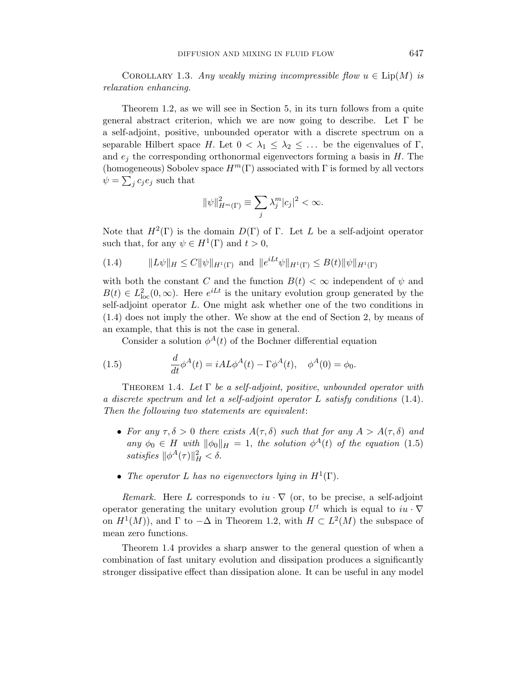COROLLARY 1.3. Any weakly mixing incompressible flow  $u \in \text{Lip}(M)$  is relaxation enhancing.

Theorem 1.2, as we will see in Section 5, in its turn follows from a quite general abstract criterion, which we are now going to describe. Let Γ be a self-adjoint, positive, unbounded operator with a discrete spectrum on a separable Hilbert space H. Let  $0 < \lambda_1 \leq \lambda_2 \leq \ldots$  be the eigenvalues of  $\Gamma$ , and  $e_i$  the corresponding orthonormal eigenvectors forming a basis in  $H$ . The (homogeneous) Sobolev space  $H^m(\Gamma)$  associated with  $\Gamma$  is formed by all vectors  $\psi = \sum_j c_j e_j$  such that

$$
\|\psi\|_{H^m(\Gamma)}^2 \equiv \sum_j \lambda_j^m |c_j|^2 < \infty.
$$

Note that  $H^2(\Gamma)$  is the domain  $D(\Gamma)$  of  $\Gamma$ . Let L be a self-adjoint operator such that, for any  $\psi \in H^1(\Gamma)$  and  $t > 0$ ,

(1.4) 
$$
||L\psi||_H \leq C ||\psi||_{H^1(\Gamma)} \text{ and } ||e^{iLt}\psi||_{H^1(\Gamma)} \leq B(t)||\psi||_{H^1(\Gamma)}
$$

with both the constant C and the function  $B(t) < \infty$  independent of  $\psi$  and  $B(t) \in L^2_{loc}(0,\infty)$ . Here  $e^{iLt}$  is the unitary evolution group generated by the self-adjoint operator L. One might ask whether one of the two conditions in (1.4) does not imply the other. We show at the end of Section 2, by means of an example, that this is not the case in general.

Consider a solution  $\phi^A(t)$  of the Bochner differential equation

(1.5) 
$$
\frac{d}{dt}\phi^A(t) = iAL\phi^A(t) - \Gamma\phi^A(t), \quad \phi^A(0) = \phi_0.
$$

THEOREM 1.4. Let  $\Gamma$  be a self-adjoint, positive, unbounded operator with a discrete spectrum and let a self-adjoint operator L satisfy conditions (1.4). Then the following two statements are equivalent:

- For any  $\tau, \delta > 0$  there exists  $A(\tau, \delta)$  such that for any  $A > A(\tau, \delta)$  and any  $\phi_0 \in H$  with  $\|\phi_0\|_H = 1$ , the solution  $\phi^A(t)$  of the equation (1.5) satisfies  $\|\phi^A(\tau)\|_H^2 < \delta$ .
- The operator L has no eigenvectors lying in  $H^1(\Gamma)$ .

Remark. Here L corresponds to  $iu \cdot \nabla$  (or, to be precise, a self-adjoint operator generating the unitary evolution group  $U^t$  which is equal to  $iu \cdot \nabla$ on  $H^1(M)$ , and  $\Gamma$  to  $-\Delta$  in Theorem 1.2, with  $H \subset L^2(M)$  the subspace of mean zero functions.

Theorem 1.4 provides a sharp answer to the general question of when a combination of fast unitary evolution and dissipation produces a significantly stronger dissipative effect than dissipation alone. It can be useful in any model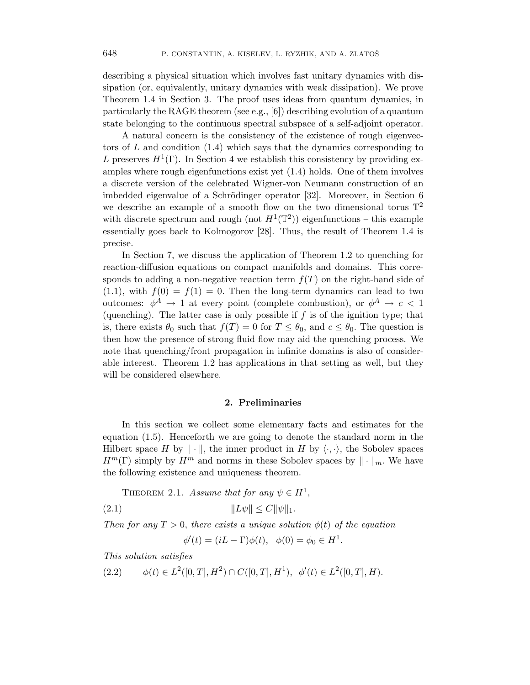describing a physical situation which involves fast unitary dynamics with dissipation (or, equivalently, unitary dynamics with weak dissipation). We prove Theorem 1.4 in Section 3. The proof uses ideas from quantum dynamics, in particularly the RAGE theorem (see e.g., [6]) describing evolution of a quantum state belonging to the continuous spectral subspace of a self-adjoint operator.

A natural concern is the consistency of the existence of rough eigenvectors of  $L$  and condition  $(1.4)$  which says that the dynamics corresponding to L preserves  $H^1(\Gamma)$ . In Section 4 we establish this consistency by providing examples where rough eigenfunctions exist yet (1.4) holds. One of them involves a discrete version of the celebrated Wigner-von Neumann construction of an imbedded eigenvalue of a Schrödinger operator [32]. Moreover, in Section 6 we describe an example of a smooth flow on the two dimensional torus  $\mathbb{T}^2$ with discrete spectrum and rough (not  $H^1(\mathbb{T}^2)$ ) eigenfunctions – this example essentially goes back to Kolmogorov [28]. Thus, the result of Theorem 1.4 is precise.

In Section 7, we discuss the application of Theorem 1.2 to quenching for reaction-diffusion equations on compact manifolds and domains. This corresponds to adding a non-negative reaction term  $f(T)$  on the right-hand side of  $(1.1)$ , with  $f(0) = f(1) = 0$ . Then the long-term dynamics can lead to two outcomes:  $\phi^A \to 1$  at every point (complete combustion), or  $\phi^A \to c < 1$ (quenching). The latter case is only possible if  $f$  is of the ignition type; that is, there exists  $\theta_0$  such that  $f(T) = 0$  for  $T \leq \theta_0$ , and  $c \leq \theta_0$ . The question is then how the presence of strong fluid flow may aid the quenching process. We note that quenching/front propagation in infinite domains is also of considerable interest. Theorem 1.2 has applications in that setting as well, but they will be considered elsewhere.

# 2. Preliminaries

In this section we collect some elementary facts and estimates for the equation (1.5). Henceforth we are going to denote the standard norm in the Hilbert space H by  $\|\cdot\|$ , the inner product in H by  $\langle \cdot, \cdot \rangle$ , the Sobolev spaces  $H^m(\Gamma)$  simply by  $H^m$  and norms in these Sobolev spaces by  $\|\cdot\|_m$ . We have the following existence and uniqueness theorem.

THEOREM 2.1. Assume that for any  $\psi \in H^1$ ,

(2.1) 
$$
||L\psi|| \le C||\psi||_1.
$$

Then for any  $T > 0$ , there exists a unique solution  $\phi(t)$  of the equation

 $\phi'(t) = (iL - \Gamma)\phi(t), \ \ \phi(0) = \phi_0 \in H^1.$ 

This solution satisfies

 $(2.2)$   $\phi(t) \in L^2([0,T], H^2) \cap C([0,T], H^1), \phi'(t) \in L^2([0,T], H).$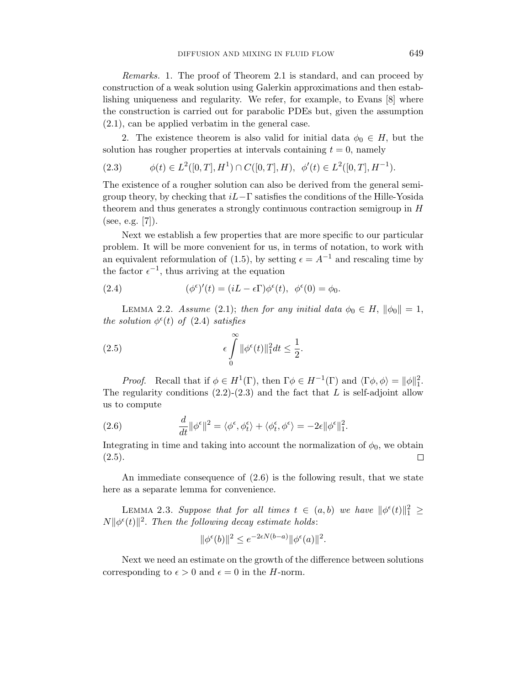Remarks. 1. The proof of Theorem 2.1 is standard, and can proceed by construction of a weak solution using Galerkin approximations and then establishing uniqueness and regularity. We refer, for example, to Evans [8] where the construction is carried out for parabolic PDEs but, given the assumption (2.1), can be applied verbatim in the general case.

2. The existence theorem is also valid for initial data  $\phi_0 \in H$ , but the solution has rougher properties at intervals containing  $t = 0$ , namely

$$
(2.3) \t\t \phi(t) \in L^2([0,T], H^1) \cap C([0,T], H), \ \phi'(t) \in L^2([0,T], H^{-1}).
$$

The existence of a rougher solution can also be derived from the general semigroup theory, by checking that  $iL-\Gamma$  satisfies the conditions of the Hille-Yosida theorem and thus generates a strongly continuous contraction semigroup in H (see, e.g.  $|7|$ ).

Next we establish a few properties that are more specific to our particular problem. It will be more convenient for us, in terms of notation, to work with an equivalent reformulation of (1.5), by setting  $\epsilon = A^{-1}$  and rescaling time by the factor  $\epsilon^{-1}$ , thus arriving at the equation

(2.4) 
$$
(\phi^{\epsilon})'(t) = (iL - \epsilon \Gamma) \phi^{\epsilon}(t), \ \phi^{\epsilon}(0) = \phi_0.
$$

LEMMA 2.2. Assume (2.1); then for any initial data  $\phi_0 \in H$ ,  $\|\phi_0\| = 1$ , the solution  $\phi^{\epsilon}(t)$  of (2.4) satisfies

(2.5) 
$$
\epsilon \int_{0}^{\infty} ||\phi^{\epsilon}(t)||_{1}^{2} dt \leq \frac{1}{2}.
$$

Proof. Recall that if  $\phi \in H^1(\Gamma)$ , then  $\Gamma \phi \in H^{-1}(\Gamma)$  and  $\langle \Gamma \phi, \phi \rangle = ||\phi||_1^2$ . The regularity conditions  $(2.2)-(2.3)$  and the fact that L is self-adjoint allow us to compute

(2.6) 
$$
\frac{d}{dt} ||\phi^{\epsilon}||^2 = \langle \phi^{\epsilon}, \phi^{\epsilon}_t \rangle + \langle \phi^{\epsilon}_t, \phi^{\epsilon} \rangle = -2\epsilon ||\phi^{\epsilon}||_1^2.
$$

Integrating in time and taking into account the normalization of  $\phi_0$ , we obtain  $(2.5).$  $\Box$ 

An immediate consequence of (2.6) is the following result, that we state here as a separate lemma for convenience.

LEMMA 2.3. Suppose that for all times  $t \in (a, b)$  we have  $\|\phi^{\epsilon}(t)\|_{1}^{2} \ge$  $N||\phi^{\epsilon}(t)||^2$ . Then the following decay estimate holds:

$$
\|\phi^{\epsilon}(b)\|^2 \le e^{-2\epsilon N(b-a)} \|\phi^{\epsilon}(a)\|^2.
$$

Next we need an estimate on the growth of the difference between solutions corresponding to  $\epsilon > 0$  and  $\epsilon = 0$  in the *H*-norm.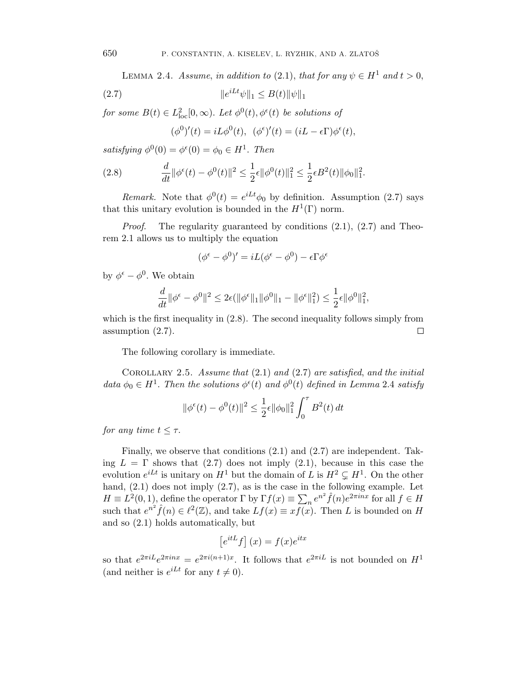LEMMA 2.4. Assume, in addition to (2.1), that for any  $\psi \in H^1$  and  $t > 0$ ,

(2.7) 
$$
\|e^{iLt}\psi\|_1 \le B(t)\|\psi\|_1
$$

for some  $B(t) \in L^2_{loc}[0,\infty)$ . Let  $\phi^0(t), \phi^{\epsilon}(t)$  be solutions of

$$
(\phi^0)'(t) = iL\phi^0(t), \ \ (\phi^\epsilon)'(t) = (iL - \epsilon \Gamma)\phi^\epsilon(t),
$$

satisfying  $\phi^0(0) = \phi^{\epsilon}(0) = \phi_0 \in H^1$ . Then

(2.8) 
$$
\frac{d}{dt} \|\phi^{\epsilon}(t) - \phi^{0}(t)\|^{2} \le \frac{1}{2}\epsilon \|\phi^{0}(t)\|_{1}^{2} \le \frac{1}{2}\epsilon B^{2}(t) \|\phi_{0}\|_{1}^{2}.
$$

Remark. Note that  $\phi^0(t) = e^{iLt}\phi_0$  by definition. Assumption (2.7) says that this unitary evolution is bounded in the  $H^1(\Gamma)$  norm.

*Proof.* The regularity guaranteed by conditions  $(2.1)$ ,  $(2.7)$  and Theorem 2.1 allows us to multiply the equation

$$
(\phi^{\epsilon} - \phi^0)' = iL(\phi^{\epsilon} - \phi^0) - \epsilon \Gamma \phi^{\epsilon}
$$

by  $\phi^{\epsilon} - \phi^0$ . We obtain

$$
\frac{d}{dt} \|\phi^{\epsilon} - \phi^0\|^2 \le 2\epsilon (\|\phi^{\epsilon}\|_1 \|\phi^0\|_1 - \|\phi^{\epsilon}\|_1^2) \le \frac{1}{2}\epsilon \|\phi^0\|_1^2,
$$

which is the first inequality in  $(2.8)$ . The second inequality follows simply from assumption (2.7).  $\Box$ 

The following corollary is immediate.

COROLLARY 2.5. Assume that  $(2.1)$  and  $(2.7)$  are satisfied, and the initial data  $\phi_0 \in H^1$ . Then the solutions  $\phi^{\epsilon}(t)$  and  $\phi^0(t)$  defined in Lemma 2.4 satisfy

$$
\|\phi^{\epsilon}(t) - \phi^{0}(t)\|^{2} \le \frac{1}{2}\epsilon \|\phi_{0}\|_{1}^{2} \int_{0}^{\tau} B^{2}(t) dt
$$

for any time  $t \leq \tau$ .

Finally, we observe that conditions (2.1) and (2.7) are independent. Taking  $L = \Gamma$  shows that (2.7) does not imply (2.1), because in this case the evolution  $e^{iLt}$  is unitary on  $H^1$  but the domain of L is  $H^2 \subsetneq H^1$ . On the other hand,  $(2.1)$  does not imply  $(2.7)$ , as is the case in the following example. Let  $H \equiv L^2(0, 1)$ , define the operator  $\Gamma$  by  $\Gamma f(x) \equiv \sum_n e^{n^2} \hat{f}(n) e^{2\pi i n x}$  for all  $f \in H$ such that  $e^{n^2}\hat{f}(n) \in \ell^2(\mathbb{Z})$ , and take  $Lf(x) \equiv xf(x)$ . Then L is bounded on H and so (2.1) holds automatically, but

$$
\left[e^{itL}f\right](x) = f(x)e^{itx}
$$

so that  $e^{2\pi i L}e^{2\pi i nx} = e^{2\pi i (n+1)x}$ . It follows that  $e^{2\pi i L}$  is not bounded on  $H^1$ (and neither is  $e^{iLt}$  for any  $t \neq 0$ ).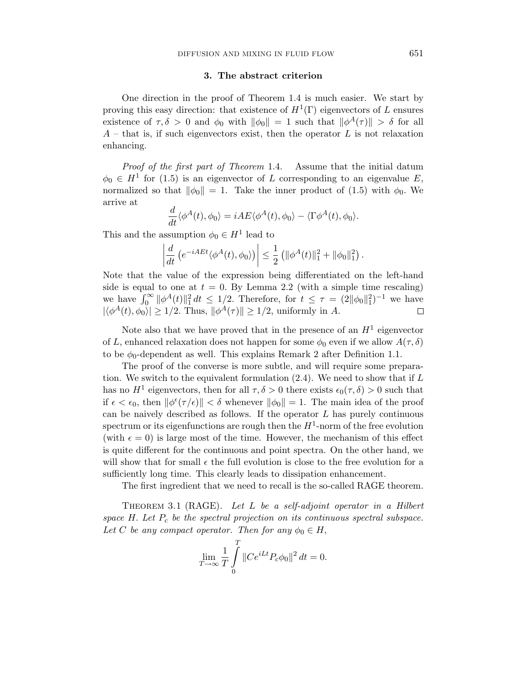# 3. The abstract criterion

One direction in the proof of Theorem 1.4 is much easier. We start by proving this easy direction: that existence of  $H^1(\Gamma)$  eigenvectors of L ensures existence of  $\tau, \delta > 0$  and  $\phi_0$  with  $\|\phi_0\| = 1$  such that  $\|\phi^A(\tau)\| > \delta$  for all  $A$  – that is, if such eigenvectors exist, then the operator  $L$  is not relaxation enhancing.

Proof of the first part of Theorem 1.4. Assume that the initial datum  $\phi_0 \in H^1$  for (1.5) is an eigenvector of L corresponding to an eigenvalue E, normalized so that  $\|\phi_0\| = 1$ . Take the inner product of (1.5) with  $\phi_0$ . We arrive at

$$
\frac{d}{dt}\langle \phi^A(t), \phi_0 \rangle = i A E \langle \phi^A(t), \phi_0 \rangle - \langle \Gamma \phi^A(t), \phi_0 \rangle.
$$

This and the assumption  $\phi_0 \in H^1$  lead to

$$
\left| \frac{d}{dt} \left( e^{-iAEt} \langle \phi^A(t), \phi_0 \rangle \right) \right| \leq \frac{1}{2} \left( \|\phi^A(t)\|_1^2 + \|\phi_0\|_1^2 \right).
$$

Note that the value of the expression being differentiated on the left-hand side is equal to one at  $t = 0$ . By Lemma 2.2 (with a simple time rescaling) we have  $\int_0^{\infty} ||\phi^A(t)||_1^2 dt \leq 1/2$ . Therefore, for  $t \leq \tau = (2||\phi_0||_1^2)^{-1}$  we have  $|\langle \phi^A(t), \phi_0 \rangle| \ge 1/2$ . Thus,  $\|\phi^A(\tau)\| \ge 1/2$ , uniformly in A.

Note also that we have proved that in the presence of an  $H^1$  eigenvector of L, enhanced relaxation does not happen for some  $\phi_0$  even if we allow  $A(\tau, \delta)$ to be  $\phi_0$ -dependent as well. This explains Remark 2 after Definition 1.1.

The proof of the converse is more subtle, and will require some preparation. We switch to the equivalent formulation  $(2.4)$ . We need to show that if L has no  $H^1$  eigenvectors, then for all  $\tau, \delta > 0$  there exists  $\epsilon_0(\tau, \delta) > 0$  such that if  $\epsilon < \epsilon_0$ , then  $\|\phi^{\epsilon}(\tau/\epsilon)\| < \delta$  whenever  $\|\phi_0\| = 1$ . The main idea of the proof can be naively described as follows. If the operator  $L$  has purely continuous spectrum or its eigenfunctions are rough then the  $H^1$ -norm of the free evolution (with  $\epsilon = 0$ ) is large most of the time. However, the mechanism of this effect is quite different for the continuous and point spectra. On the other hand, we will show that for small  $\epsilon$  the full evolution is close to the free evolution for a sufficiently long time. This clearly leads to dissipation enhancement.

The first ingredient that we need to recall is the so-called RAGE theorem.

THEOREM 3.1 (RAGE). Let L be a self-adjoint operator in a Hilbert space  $H$ . Let  $P_c$  be the spectral projection on its continuous spectral subspace. Let C be any compact operator. Then for any  $\phi_0 \in H$ ,

$$
\lim_{T \to \infty} \frac{1}{T} \int_{0}^{T} \|Ce^{iLt} P_c \phi_0\|^2 dt = 0.
$$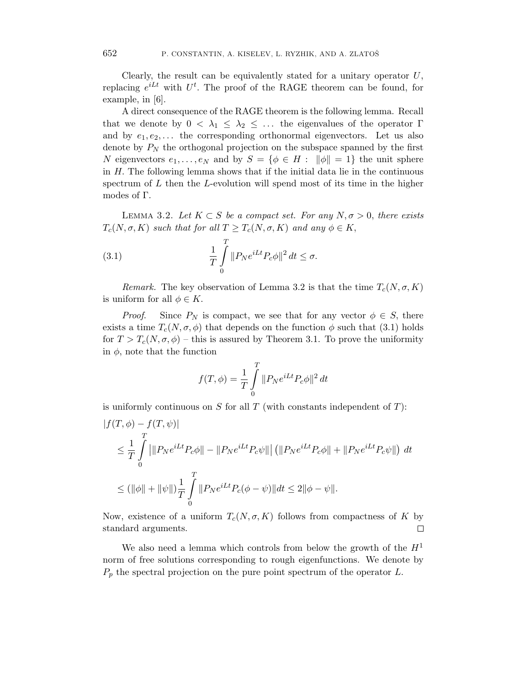Clearly, the result can be equivalently stated for a unitary operator  $U$ , replacing  $e^{iLt}$  with  $U^t$ . The proof of the RAGE theorem can be found, for example, in [6].

A direct consequence of the RAGE theorem is the following lemma. Recall that we denote by  $0 < \lambda_1 \leq \lambda_2 \leq \ldots$  the eigenvalues of the operator  $\Gamma$ and by  $e_1, e_2, \ldots$  the corresponding orthonormal eigenvectors. Let us also denote by  $P_N$  the orthogonal projection on the subspace spanned by the first N eigenvectors  $e_1, \ldots, e_N$  and by  $S = \{ \phi \in H : ||\phi|| = 1 \}$  the unit sphere in  $H$ . The following lemma shows that if the initial data lie in the continuous spectrum of  $L$  then the  $L$ -evolution will spend most of its time in the higher modes of Γ.

LEMMA 3.2. Let  $K \subset S$  be a compact set. For any  $N, \sigma > 0$ , there exists  $T_c(N, \sigma, K)$  such that for all  $T \geq T_c(N, \sigma, K)$  and any  $\phi \in K$ ,

(3.1) 
$$
\frac{1}{T} \int_{0}^{T} ||P_N e^{iLt} P_c \phi||^2 dt \leq \sigma.
$$

Remark. The key observation of Lemma 3.2 is that the time  $T_c(N, \sigma, K)$ is uniform for all  $\phi \in K$ .

*Proof.* Since  $P_N$  is compact, we see that for any vector  $\phi \in S$ , there exists a time  $T_c(N, \sigma, \phi)$  that depends on the function  $\phi$  such that (3.1) holds for  $T > T_c(N, \sigma, \phi)$  – this is assured by Theorem 3.1. To prove the uniformity in  $\phi$ , note that the function

$$
f(T,\phi) = \frac{1}{T} \int_{0}^{T} ||P_N e^{iLt} P_c \phi||^2 dt
$$

is uniformly continuous on  $S$  for all  $T$  (with constants independent of  $T$ ):

$$
|f(T, \phi) - f(T, \psi)|
$$
  
\n
$$
\leq \frac{1}{T} \int_{0}^{T} |||P_N e^{iLt} P_c \phi|| - ||P_N e^{iLt} P_c \psi||| (||P_N e^{iLt} P_c \phi|| + ||P_N e^{iLt} P_c \psi||) dt
$$
  
\n
$$
\leq (||\phi|| + ||\psi||) \frac{1}{T} \int_{0}^{T} ||P_N e^{iLt} P_c (\phi - \psi)|| dt \leq 2 ||\phi - \psi||.
$$

Now, existence of a uniform  $T_c(N, \sigma, K)$  follows from compactness of K by standard arguments.  $\Box$ 

We also need a lemma which controls from below the growth of the  $H<sup>1</sup>$ norm of free solutions corresponding to rough eigenfunctions. We denote by  $P_p$  the spectral projection on the pure point spectrum of the operator L.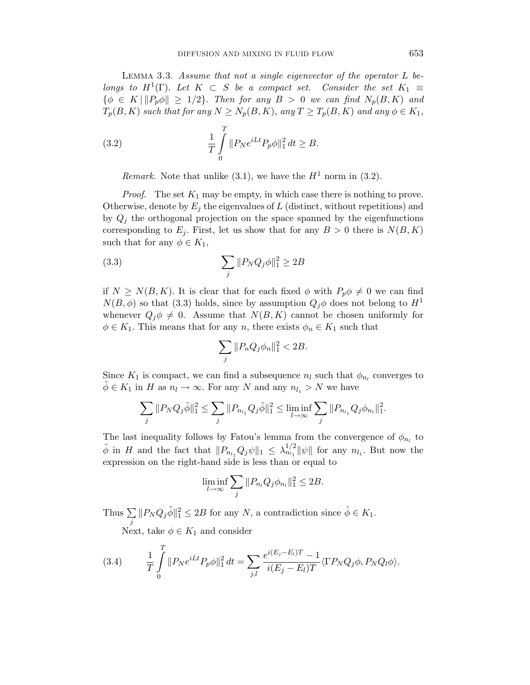LEMMA 3.3. Assume that not a single eigenvector of the operator  $L$  belongs to  $H^1(\Gamma)$ . Let  $K \subset S$  be a compact set. Consider the set  $K_1 \equiv$  $\{\phi \in K \mid ||P_p\phi|| \geq 1/2\}$ . Then for any  $B > 0$  we can find  $N_p(B, K)$  and  $T_p(B, K)$  such that for any  $N \ge N_p(B, K)$ , any  $T \ge T_p(B, K)$  and any  $\phi \in K_1$ ,

(3.2) 
$$
\frac{1}{T} \int_{0}^{T} ||P_N e^{iLt} P_p \phi||_1^2 dt \geq B.
$$

Remark. Note that unlike (3.1), we have the  $H^1$  norm in (3.2).

*Proof.* The set  $K_1$  may be empty, in which case there is nothing to prove. Otherwise, denote by  $E_j$  the eigenvalues of L (distinct, without repetitions) and by  $Q_i$  the orthogonal projection on the space spanned by the eigenfunctions corresponding to  $E_j$ . First, let us show that for any  $B > 0$  there is  $N(B, K)$ such that for any  $\phi \in K_1$ ,

(3.3) 
$$
\sum_{j} ||P_N Q_j \phi||_1^2 \ge 2B
$$

if  $N \geq N(B, K)$ . It is clear that for each fixed  $\phi$  with  $P_p \phi \neq 0$  we can find  $N(B, \phi)$  so that (3.3) holds, since by assumption  $Q_i\phi$  does not belong to  $H^1$ whenever  $Q_j \phi \neq 0$ . Assume that  $N(B, K)$  cannot be chosen uniformly for  $\phi \in K_1$ . This means that for any n, there exists  $\phi_n \in K_1$  such that

$$
\sum_j \|P_n Q_j \phi_n\|_1^2 < 2B.
$$

Since  $K_1$  is compact, we can find a subsequence  $n_l$  such that  $\phi_{n_l}$  converges to  $\phi \in K_1$  in H as  $n_l \to \infty$ . For any N and any  $n_{l_1} > N$  we have

$$
\sum_{j} ||P_N Q_j \tilde{\phi}||_1^2 \leq \sum_{j} ||P_{n_{l_1}} Q_j \tilde{\phi}||_1^2 \leq \liminf_{l \to \infty} \sum_{j} ||P_{n_{l_1}} Q_j \phi_{n_l}||_1^2.
$$

The last inequality follows by Fatou's lemma from the convergence of  $\phi_{n_l}$  to  $\tilde{\phi}$  in H and the fact that  $||P_{n_{l_1}}Q_j\psi||_1 \leq \lambda_{n_{l_1}}^{1/2}||\psi||$  for any  $n_{l_1}$ . But now the expression on the right-hand side is less than or equal to

$$
\liminf_{l\to\infty}\sum_j\|P_{n_l}Q_j\phi_{n_l}\|_1^2\leq 2B.
$$

Thus  $\sum$ j  $||P_N Q_j \tilde{\phi}||_1^2 \leq 2B$  for any N, a contradiction since  $\tilde{\phi} \in K_1$ .

Next, take  $\phi \in K_1$  and consider

(3.4) 
$$
\frac{1}{T} \int_{0}^{T} ||P_N e^{iLt} P_p \phi||_1^2 dt = \sum_{j,l} \frac{e^{i(E_j - E_l)T} - 1}{i(E_j - E_l)T} \langle \Gamma P_N Q_j \phi, P_N Q_l \phi \rangle.
$$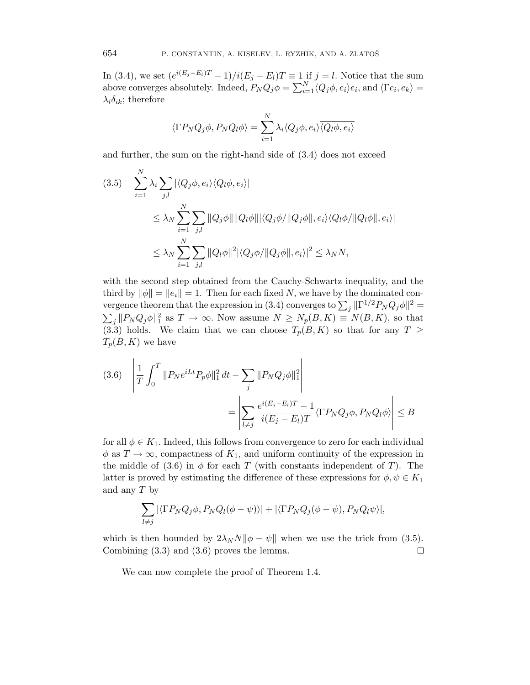In (3.4), we set  $(e^{i(E_j - E_l)T} - 1)/i(E_j - E_l)T \equiv 1$  if  $j = l$ . Notice that the sum above converges absolutely. Indeed,  $P_N Q_j \phi = \sum_{i=1}^N \langle Q_j \phi, e_i \rangle e_i$ , and  $\langle \Gamma e_i, e_k \rangle =$  $\lambda_i \delta_{ik}$ ; therefore

$$
\langle \Gamma P_N Q_j \phi, P_N Q_l \phi \rangle = \sum_{i=1}^N \lambda_i \langle Q_j \phi, e_i \rangle \overline{\langle Q_l \phi, e_i \rangle}
$$

and further, the sum on the right-hand side of (3.4) does not exceed

$$
(3.5) \quad \sum_{i=1}^{N} \lambda_i \sum_{j,l} |\langle Q_j \phi, e_i \rangle \langle Q_l \phi, e_i \rangle|
$$
  

$$
\leq \lambda_N \sum_{i=1}^{N} \sum_{j,l} ||Q_j \phi|| ||Q_l \phi|| |\langle Q_j \phi/ ||Q_j \phi||, e_i \rangle \langle Q_l \phi/ ||Q_l \phi||, e_i \rangle|
$$
  

$$
\leq \lambda_N \sum_{i=1}^{N} \sum_{j,l} ||Q_l \phi||^2 |\langle Q_j \phi/ ||Q_j \phi||, e_i \rangle|^2 \leq \lambda_N N,
$$

with the second step obtained from the Cauchy-Schwartz inequality, and the third by  $\|\phi\| = \|e_i\| = 1$ . Then for each fixed N, we have by the dominated convergence theorem that the expression in (3.4) converges to  $\sum_j ||\Gamma^{1/2}P_N Q_j \phi||^2 =$  $\sum_j ||P_N Q_j \phi||_1^2$  as  $T \to \infty$ . Now assume  $N \ge N_p(B, K) \equiv N(B, K)$ , so that (3.3) holds. We claim that we can choose  $T_p(B, K)$  so that for any  $T \geq$  $T_p(B, K)$  we have

$$
(3.6) \quad \left| \frac{1}{T} \int_0^T \| P_N e^{iLt} P_p \phi \|_1^2 dt - \sum_j \| P_N Q_j \phi \|_1^2 \right|
$$

$$
= \left| \sum_{l \neq j} \frac{e^{i(E_j - E_l)T} - 1}{i(E_j - E_l)T} \langle \Gamma P_N Q_j \phi, P_N Q_l \phi \rangle \right| \le B
$$

for all  $\phi \in K_1$ . Indeed, this follows from convergence to zero for each individual  $\phi$  as  $T \to \infty$ , compactness of  $K_1$ , and uniform continuity of the expression in the middle of (3.6) in  $\phi$  for each T (with constants independent of T). The latter is proved by estimating the difference of these expressions for  $\phi, \psi \in K_1$ and any  $T$  by

$$
\sum_{l\neq j} |\langle \Gamma P_N Q_j \phi, P_N Q_l(\phi - \psi) \rangle| + |\langle \Gamma P_N Q_j(\phi - \psi), P_N Q_l \psi \rangle|,
$$

which is then bounded by  $2\lambda_N N||\phi - \psi||$  when we use the trick from (3.5). Combining (3.3) and (3.6) proves the lemma.  $\Box$ 

We can now complete the proof of Theorem 1.4.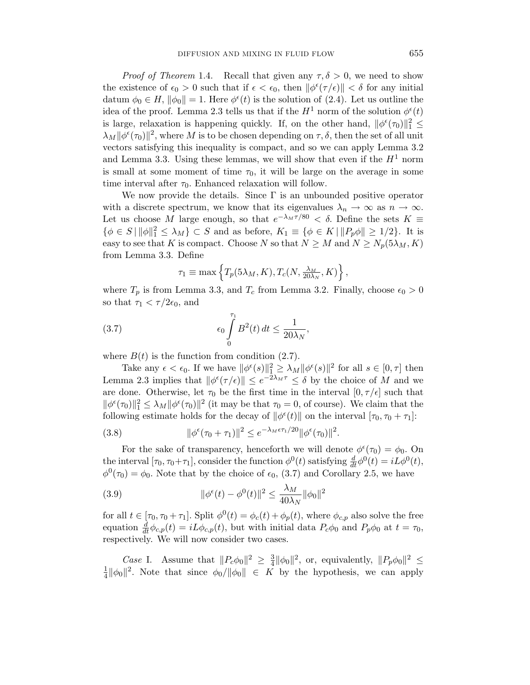*Proof of Theorem* 1.4. Recall that given any  $\tau$ ,  $\delta > 0$ , we need to show the existence of  $\epsilon_0 > 0$  such that if  $\epsilon < \epsilon_0$ , then  $\|\phi^{\epsilon}(\tau/\epsilon)\| < \delta$  for any initial datum  $\phi_0 \in H$ ,  $\|\phi_0\| = 1$ . Here  $\phi^{\epsilon}(t)$  is the solution of (2.4). Let us outline the idea of the proof. Lemma 2.3 tells us that if the  $H^1$  norm of the solution  $\phi^{\epsilon}(t)$ is large, relaxation is happening quickly. If, on the other hand,  $\|\phi^{\epsilon}(\tau_0)\|_1^2 \leq$  $\lambda_M ||\phi^{\epsilon}(\tau_0)||^2$ , where M is to be chosen depending on  $\tau$ ,  $\delta$ , then the set of all unit vectors satisfying this inequality is compact, and so we can apply Lemma 3.2 and Lemma 3.3. Using these lemmas, we will show that even if the  $H<sup>1</sup>$  norm is small at some moment of time  $\tau_0$ , it will be large on the average in some time interval after  $\tau_0$ . Enhanced relaxation will follow.

We now provide the details. Since  $\Gamma$  is an unbounded positive operator with a discrete spectrum, we know that its eigenvalues  $\lambda_n \to \infty$  as  $n \to \infty$ . Let us choose M large enough, so that  $e^{-\lambda_M \tau/80} < \delta$ . Define the sets  $K \equiv$  $\{\phi \in S \mid ||\phi||_1^2 \le \lambda_M\} \subset S$  and as before,  $K_1 \equiv \{\phi \in K \mid ||P_p\phi|| \ge 1/2\}$ . It is easy to see that K is compact. Choose N so that  $N \geq M$  and  $N \geq N_p(5\lambda_M, K)$ from Lemma 3.3. Define

$$
\tau_1 \equiv \max \left\{ T_p(5\lambda_M, K), T_c(N, \frac{\lambda_M}{20\lambda_N}, K) \right\},\,
$$

where  $T_p$  is from Lemma 3.3, and  $T_c$  from Lemma 3.2. Finally, choose  $\epsilon_0 > 0$ so that  $\tau_1 < \tau/2\epsilon_0$ , and

(3.7) 
$$
\epsilon_0 \int\limits_0^{\tau_1} B^2(t) dt \leq \frac{1}{20\lambda_N},
$$

where  $B(t)$  is the function from condition (2.7).

Take any  $\epsilon < \epsilon_0$ . If we have  $\|\phi^{\epsilon}(s)\|_1^2 \geq \lambda_M \|\phi^{\epsilon}(s)\|^2$  for all  $s \in [0, \tau]$  then Lemma 2.3 implies that  $\|\phi^{\epsilon}(\tau/\epsilon)\| \leq e^{-2\lambda_M \tau} \leq \delta$  by the choice of M and we are done. Otherwise, let  $\tau_0$  be the first time in the interval  $[0, \tau/\epsilon]$  such that  $\|\phi^{\epsilon}(\tau_0)\|_{1}^{2} \leq \lambda_M \|\phi^{\epsilon}(\tau_0)\|^{2}$  (it may be that  $\tau_0 = 0$ , of course). We claim that the following estimate holds for the decay of  $\|\phi^{\epsilon}(t)\|$  on the interval  $[\tau_0, \tau_0 + \tau_1]$ :

(3.8) 
$$
\|\phi^{\epsilon}(\tau_0 + \tau_1)\|^2 \leq e^{-\lambda_M \epsilon \tau_1/20} \|\phi^{\epsilon}(\tau_0)\|^2.
$$

For the sake of transparency, henceforth we will denote  $\phi^{\epsilon}(\tau_0) = \phi_0$ . On the interval  $[\tau_0, \tau_0 + \tau_1]$ , consider the function  $\phi^0(t)$  satisfying  $\frac{d}{dt} \phi^0(t) = iL\phi^0(t)$ ,  $\phi^0(\tau_0) = \phi_0$ . Note that by the choice of  $\epsilon_0$ , (3.7) and Corollary 2.5, we have

(3.9) 
$$
\|\phi^{\epsilon}(t) - \phi^{0}(t)\|^{2} \le \frac{\lambda_{M}}{40\lambda_{N}} \|\phi_{0}\|^{2}
$$

for all  $t \in [\tau_0, \tau_0 + \tau_1]$ . Split  $\phi^0(t) = \phi_c(t) + \phi_p(t)$ , where  $\phi_{c,p}$  also solve the free equation  $\frac{d}{dt}\phi_{c,p}(t) = iL\phi_{c,p}(t)$ , but with initial data  $P_c\phi_0$  and  $P_p\phi_0$  at  $t = \tau_0$ , respectively. We will now consider two cases.

*Case* I. Assume that  $||P_c\phi_0||^2 \geq \frac{3}{4}$  $\frac{3}{4} ||\phi_0||^2$ , or, equivalently,  $||P_p\phi_0||^2 \leq$ 1  $\frac{1}{4} ||\phi_0||^2$ . Note that since  $\phi_0/||\phi_0|| \in K$  by the hypothesis, we can apply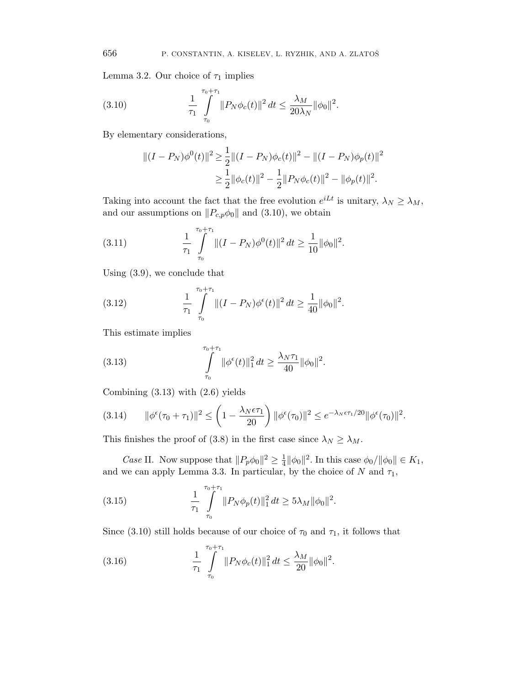Lemma 3.2. Our choice of  $\tau_1$  implies

(3.10) 
$$
\frac{1}{\tau_1} \int_{\tau_0}^{\tau_0 + \tau_1} ||P_N \phi_c(t)||^2 dt \leq \frac{\lambda_M}{20 \lambda_N} ||\phi_0||^2.
$$

By elementary considerations,

$$
||(I - P_N)\phi^{0}(t)||^{2} \ge \frac{1}{2}||(I - P_N)\phi_c(t)||^{2} - ||(I - P_N)\phi_p(t)||^{2}
$$
  

$$
\ge \frac{1}{2}||\phi_c(t)||^{2} - \frac{1}{2}||P_N\phi_c(t)||^{2} - ||\phi_p(t)||^{2}.
$$

Taking into account the fact that the free evolution  $e^{iLt}$  is unitary,  $\lambda_N \geq \lambda_M$ , and our assumptions on  $||P_{c,p}\phi_0||$  and (3.10), we obtain

(3.11) 
$$
\frac{1}{\tau_1} \int_{\tau_0}^{\tau_0 + \tau_1} ||(I - P_N)\phi^0(t)||^2 dt \ge \frac{1}{10} ||\phi_0||^2.
$$

Using (3.9), we conclude that

(3.12) 
$$
\frac{1}{\tau_1} \int_{\tau_0}^{\tau_0 + \tau_1} ||(I - P_N)\phi^{\epsilon}(t)||^2 dt \geq \frac{1}{40} ||\phi_0||^2.
$$

This estimate implies

(3.13) 
$$
\int_{\tau_0}^{\tau_0+\tau_1} \|\phi^{\epsilon}(t)\|_1^2 dt \geq \frac{\lambda_N \tau_1}{40} \|\phi_0\|^2.
$$

Combining (3.13) with (2.6) yields

$$
(3.14) \qquad \|\phi^{\epsilon}(\tau_0 + \tau_1)\|^2 \le \left(1 - \frac{\lambda_N \epsilon \tau_1}{20}\right) \|\phi^{\epsilon}(\tau_0)\|^2 \le e^{-\lambda_N \epsilon \tau_1/20} \|\phi^{\epsilon}(\tau_0)\|^2.
$$

This finishes the proof of (3.8) in the first case since  $\lambda_N \geq \lambda_M$ .

*Case* II. Now suppose that  $||P_p\phi_0||^2 \ge \frac{1}{4}$  $\frac{1}{4} ||\phi_0||^2$ . In this case  $\phi_0/||\phi_0|| \in K_1$ , and we can apply Lemma 3.3. In particular, by the choice of N and  $\tau_1$ ,

(3.15) 
$$
\frac{1}{\tau_1} \int_{\tau_0}^{\tau_0 + \tau_1} ||P_N \phi_p(t)||_1^2 dt \ge 5\lambda_M ||\phi_0||^2.
$$

Since (3.10) still holds because of our choice of  $\tau_0$  and  $\tau_1$ , it follows that

(3.16) 
$$
\frac{1}{\tau_1} \int_{\tau_0}^{\tau_0 + \tau_1} ||P_N \phi_c(t)||_1^2 dt \leq \frac{\lambda_M}{20} ||\phi_0||^2.
$$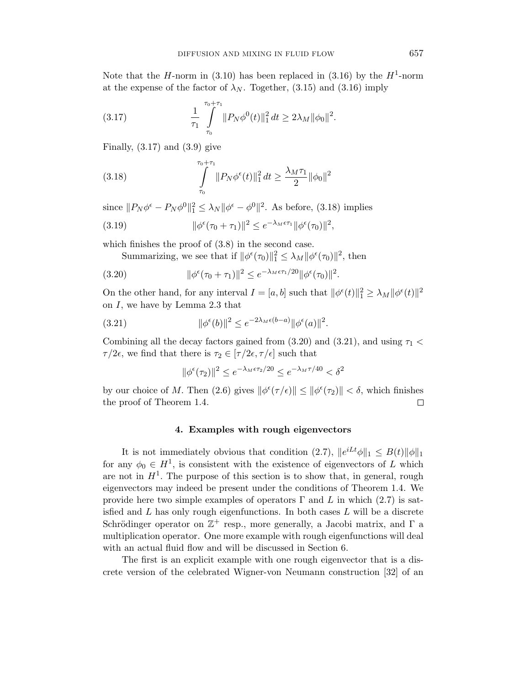Note that the *H*-norm in (3.10) has been replaced in (3.16) by the  $H^1$ -norm at the expense of the factor of  $\lambda_N$ . Together, (3.15) and (3.16) imply

(3.17) 
$$
\frac{1}{\tau_1} \int_{\tau_0}^{\tau_0 + \tau_1} ||P_N \phi^0(t)||_1^2 dt \ge 2\lambda_M ||\phi_0||^2.
$$

Finally,  $(3.17)$  and  $(3.9)$  give

(3.18) 
$$
\int_{\tau_0}^{\tau_0+\tau_1} ||P_N \phi^{\epsilon}(t)||_1^2 dt \ge \frac{\lambda_M \tau_1}{2} ||\phi_0||^2
$$

since  $||P_N\phi^{\epsilon} - P_N\phi^0||_1^2 \leq \lambda_N ||\phi^{\epsilon} - \phi^0||^2$ . As before, (3.18) implies

(3.19) 
$$
\|\phi^{\epsilon}(\tau_0 + \tau_1)\|^2 \leq e^{-\lambda_M \epsilon \tau_1} \|\phi^{\epsilon}(\tau_0)\|^2,
$$

which finishes the proof of (3.8) in the second case.

Summarizing, we see that if  $\|\phi^{\epsilon}(\tau_0)\|_{1}^{2} \leq \lambda_{M} \|\phi^{\epsilon}(\tau_0)\|^{2}$ , then

(3.20) 
$$
\|\phi^{\epsilon}(\tau_0 + \tau_1)\|^2 \leq e^{-\lambda_M \epsilon \tau_1/20} \|\phi^{\epsilon}(\tau_0)\|^2.
$$

On the other hand, for any interval  $I = [a, b]$  such that  $\|\phi^{\epsilon}(t)\|_{1}^{2} \geq \lambda_{M} \|\phi^{\epsilon}(t)\|^{2}$ on I, we have by Lemma 2.3 that

(3.21) 
$$
\|\phi^{\epsilon}(b)\|^2 \leq e^{-2\lambda_M \epsilon(b-a)} \|\phi^{\epsilon}(a)\|^2.
$$

Combining all the decay factors gained from (3.20) and (3.21), and using  $\tau_1$  <  $\tau/2\epsilon$ , we find that there is  $\tau_2 \in [\tau/2\epsilon, \tau/\epsilon]$  such that

$$
\|\phi^{\epsilon}(\tau_2)\|^2 \le e^{-\lambda_M \epsilon \tau_2/20} \le e^{-\lambda_M \tau/40} < \delta^2
$$

by our choice of M. Then (2.6) gives  $\|\phi^{\epsilon}(\tau/\epsilon)\| \leq \|\phi^{\epsilon}(\tau_2)\| < \delta$ , which finishes the proof of Theorem 1.4.  $\Box$ 

# 4. Examples with rough eigenvectors

It is not immediately obvious that condition (2.7),  $||e^{iLt}\phi||_1 \leq B(t)||\phi||_1$ for any  $\phi_0 \in H^1$ , is consistent with the existence of eigenvectors of L which are not in  $H<sup>1</sup>$ . The purpose of this section is to show that, in general, rough eigenvectors may indeed be present under the conditions of Theorem 1.4. We provide here two simple examples of operators  $\Gamma$  and L in which (2.7) is satisfied and  $L$  has only rough eigenfunctions. In both cases  $L$  will be a discrete Schrödinger operator on  $\mathbb{Z}^+$  resp., more generally, a Jacobi matrix, and  $\Gamma$  a multiplication operator. One more example with rough eigenfunctions will deal with an actual fluid flow and will be discussed in Section 6.

The first is an explicit example with one rough eigenvector that is a discrete version of the celebrated Wigner-von Neumann construction [32] of an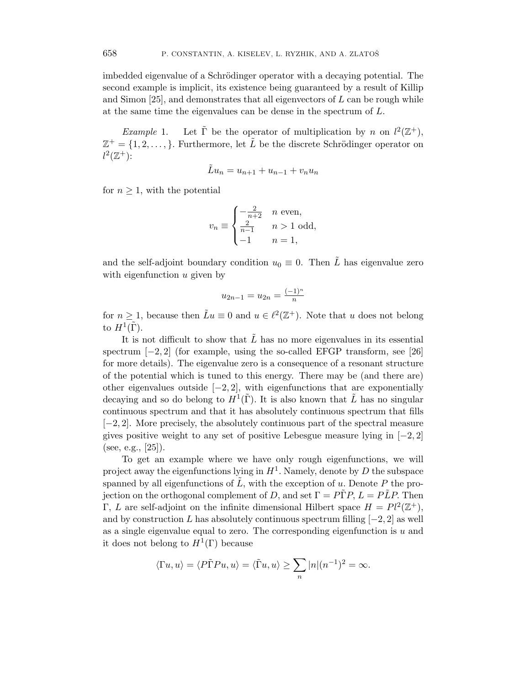imbedded eigenvalue of a Schrödinger operator with a decaying potential. The second example is implicit, its existence being guaranteed by a result of Killip and Simon  $[25]$ , and demonstrates that all eigenvectors of  $L$  can be rough while at the same time the eigenvalues can be dense in the spectrum of L.

*Example* 1. Let  $\tilde{\Gamma}$  be the operator of multiplication by *n* on  $l^2(\mathbb{Z}^+),$  $\mathbb{Z}^+ = \{1, 2, \ldots, \}$ . Furthermore, let  $\tilde{L}$  be the discrete Schrödinger operator on  $l^2(\mathbb{Z}^+):$ 

$$
\tilde{L}u_n = u_{n+1} + u_{n-1} + v_n u_n
$$

for  $n \geq 1$ , with the potential

$$
v_n \equiv \begin{cases} -\frac{2}{n+2} & n \text{ even,} \\ \frac{2}{n-1} & n > 1 \text{ odd,} \\ -1 & n = 1, \end{cases}
$$

and the self-adjoint boundary condition  $u_0 \equiv 0$ . Then  $\tilde{L}$  has eigenvalue zero with eigenfunction  $u$  given by

$$
u_{2n-1} = u_{2n} = \frac{(-1)^n}{n}
$$

for  $n \geq 1$ , because then  $\tilde{L}u \equiv 0$  and  $u \in \ell^2(\mathbb{Z}^+)$ . Note that u does not belong to  $H^1(\tilde{\Gamma})$ .

It is not difficult to show that  $\tilde{L}$  has no more eigenvalues in its essential spectrum  $[-2, 2]$  (for example, using the so-called EFGP transform, see [26] for more details). The eigenvalue zero is a consequence of a resonant structure of the potential which is tuned to this energy. There may be (and there are) other eigenvalues outside  $[-2, 2]$ , with eigenfunctions that are exponentially decaying and so do belong to  $H^1(\tilde{\Gamma})$ . It is also known that  $\tilde{L}$  has no singular continuous spectrum and that it has absolutely continuous spectrum that fills [−2, 2]. More precisely, the absolutely continuous part of the spectral measure gives positive weight to any set of positive Lebesgue measure lying in  $[-2, 2]$ (see, e.g., [25]).

To get an example where we have only rough eigenfunctions, we will project away the eigenfunctions lying in  $H^1$ . Namely, denote by D the subspace spanned by all eigenfunctions of  $\tilde{L}$ , with the exception of u. Denote P the projection on the orthogonal complement of D, and set  $\Gamma = P\tilde{\Gamma}P$ ,  $L = P\tilde{L}P$ . Then Γ, L are self-adjoint on the infinite dimensional Hilbert space  $H = Pl^2(\mathbb{Z}^+),$ and by construction L has absolutely continuous spectrum filling  $[-2, 2]$  as well as a single eigenvalue equal to zero. The corresponding eigenfunction is  $u$  and it does not belong to  $H^1(\Gamma)$  because

$$
\langle \Gamma u, u \rangle = \langle P\tilde{\Gamma}Pu, u \rangle = \langle \tilde{\Gamma}u, u \rangle \ge \sum_{n} |n|(n^{-1})^2 = \infty.
$$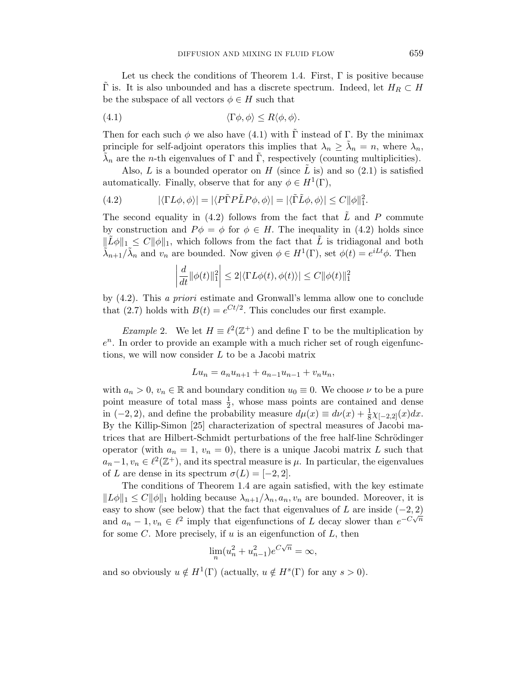Let us check the conditions of Theorem 1.4. First,  $\Gamma$  is positive because  $\tilde{\Gamma}$  is. It is also unbounded and has a discrete spectrum. Indeed, let  $H_R \subset H$ be the subspace of all vectors  $\phi \in H$  such that

(4.1) 
$$
\langle \Gamma \phi, \phi \rangle \le R \langle \phi, \phi \rangle.
$$

Then for each such  $\phi$  we also have (4.1) with  $\tilde{\Gamma}$  instead of  $\Gamma$ . By the minimax principle for self-adjoint operators this implies that  $\lambda_n \geq \tilde{\lambda}_n = n$ , where  $\lambda_n$ ,  $\tilde{\lambda}_n$  are the *n*-th eigenvalues of  $\Gamma$  and  $\tilde{\Gamma}$ , respectively (counting multiplicities).

Also, L is a bounded operator on H (since  $\tilde{L}$  is) and so (2.1) is satisfied automatically. Finally, observe that for any  $\phi \in H^1(\Gamma)$ ,

(4.2) 
$$
|\langle \Gamma L \phi, \phi \rangle| = |\langle P \tilde{\Gamma} P \tilde{L} P \phi, \phi \rangle| = |\langle \tilde{\Gamma} \tilde{L} \phi, \phi \rangle| \leq C ||\phi||_1^2.
$$

The second equality in (4.2) follows from the fact that  $\tilde{L}$  and P commute by construction and  $P\phi = \phi$  for  $\phi \in H$ . The inequality in (4.2) holds since  $\|\tilde{L}\phi\|_1 \leq C\|\phi\|_1$ , which follows from the fact that  $\tilde{L}$  is tridiagonal and both  $\tilde{\lambda}_{n+1}/\tilde{\lambda}_n$  and  $v_n$  are bounded. Now given  $\phi \in H^1(\Gamma)$ , set  $\phi(t) = e^{iLt}\phi$ . Then

$$
\left| \frac{d}{dt} ||\phi(t)||_1^2 \right| \le 2|\langle \Gamma L \phi(t), \phi(t) \rangle| \le C ||\phi(t)||_1^2
$$

by (4.2). This a priori estimate and Gronwall's lemma allow one to conclude that (2.7) holds with  $B(t) = e^{Ct/2}$ . This concludes our first example.

*Example 2.* We let  $H \equiv \ell^2(\mathbb{Z}^+)$  and define  $\Gamma$  to be the multiplication by  $e<sup>n</sup>$ . In order to provide an example with a much richer set of rough eigenfunctions, we will now consider L to be a Jacobi matrix

$$
Lu_n = a_n u_{n+1} + a_{n-1} u_{n-1} + v_n u_n,
$$

with  $a_n > 0$ ,  $v_n \in \mathbb{R}$  and boundary condition  $u_0 \equiv 0$ . We choose  $\nu$  to be a pure point measure of total mass  $\frac{1}{2}$ , whose mass points are contained and dense in (-2, 2), and define the probability measure  $d\mu(x) \equiv d\nu(x) + \frac{1}{8}\chi_{[-2,2]}(x)dx$ . By the Killip-Simon [25] characterization of spectral measures of Jacobi matrices that are Hilbert-Schmidt perturbations of the free half-line Schrödinger operator (with  $a_n = 1$ ,  $v_n = 0$ ), there is a unique Jacobi matrix L such that  $a_n-1, v_n \in \ell^2(\mathbb{Z}^+),$  and its spectral measure is  $\mu$ . In particular, the eigenvalues of L are dense in its spectrum  $\sigma(L) = [-2, 2]$ .

The conditions of Theorem 1.4 are again satisfied, with the key estimate  $||L\phi||_1 \leq C||\phi||_1$  holding because  $\lambda_{n+1}/\lambda_n$ ,  $a_n$ ,  $v_n$  are bounded. Moreover, it is easy to show (see below) that the fact that eigenvalues of L are inside  $(-2, 2)$ and  $a_n - 1$ ,  $v_n \in \ell^2$  imply that eigenfunctions of L decay slower than  $e^{-C\sqrt{n}}$ for some  $C$ . More precisely, if  $u$  is an eigenfunction of  $L$ , then

$$
\lim_n (u_n^2 + u_{n-1}^2) e^{C\sqrt{n}} = \infty,
$$

and so obviously  $u \notin H^1(\Gamma)$  (actually,  $u \notin H^s(\Gamma)$  for any  $s > 0$ ).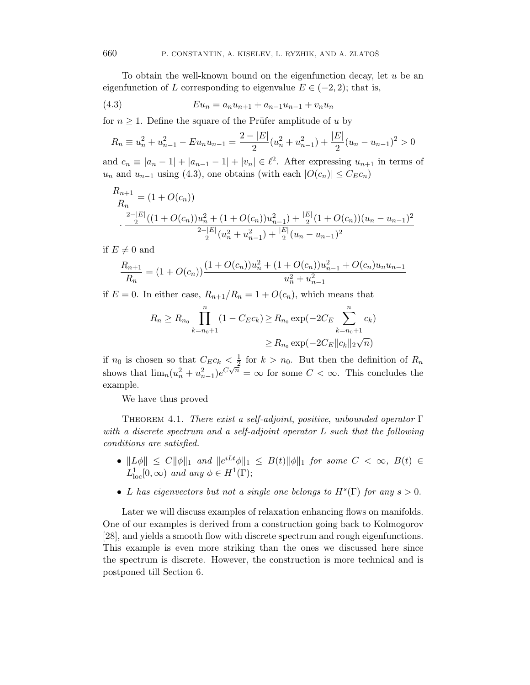To obtain the well-known bound on the eigenfunction decay, let  $u$  be an eigenfunction of L corresponding to eigenvalue  $E \in (-2, 2)$ ; that is,

(4.3) 
$$
Eu_n = a_n u_{n+1} + a_{n-1} u_{n-1} + v_n u_n
$$

for  $n \geq 1$ . Define the square of the Prüfer amplitude of u by

$$
R_n \equiv u_n^2 + u_{n-1}^2 - Eu_n u_{n-1} = \frac{2 - |E|}{2} (u_n^2 + u_{n-1}^2) + \frac{|E|}{2} (u_n - u_{n-1})^2 > 0
$$

and  $c_n \equiv |a_n - 1| + |a_{n-1} - 1| + |v_n| \in \ell^2$ . After expressing  $u_{n+1}$  in terms of  $u_n$  and  $u_{n-1}$  using (4.3), one obtains (with each  $|O(c_n)| \leq C_E c_n$ )

$$
\frac{R_{n+1}}{R_n} = (1 + O(c_n))
$$
  

$$
\frac{\frac{2-|E|}{2}((1 + O(c_n))u_n^2 + (1 + O(c_n))u_{n-1}^2) + \frac{|E|}{2}(1 + O(c_n))(u_n - u_{n-1})^2}{\frac{2-|E|}{2}(u_n^2 + u_{n-1}^2) + \frac{|E|}{2}(u_n - u_{n-1})^2}
$$

if  $E \neq 0$  and

$$
\frac{R_{n+1}}{R_n} = (1 + O(c_n)) \frac{(1 + O(c_n))u_n^2 + (1 + O(c_n))u_{n-1}^2 + O(c_n)u_nu_{n-1}}{u_n^2 + u_{n-1}^2}
$$

if  $E = 0$ . In either case,  $R_{n+1}/R_n = 1 + O(c_n)$ , which means that

$$
R_n \ge R_{n_0} \prod_{k=n_0+1}^n (1 - C_E c_k) \ge R_{n_0} \exp(-2C_E \sum_{k=n_0+1}^n c_k)
$$
  

$$
\ge R_{n_0} \exp(-2C_E ||c_k||_2 \sqrt{n})
$$

if  $n_0$  is chosen so that  $C_E c_k < \frac{1}{2}$  $\frac{1}{2}$  for  $k > n_0$ . But then the definition of  $R_n$ shows that  $\lim_{n}(u_n^2 + u_{n-1}^2)e^{C\sqrt{n}} = \infty$  for some  $C < \infty$ . This concludes the example.

We have thus proved

THEOREM 4.1. There exist a self-adjoint, positive, unbounded operator  $\Gamma$ with a discrete spectrum and a self-adjoint operator L such that the following conditions are satisfied.

- $||L\phi|| \leq C ||\phi||_1$  and  $||e^{iLt}\phi||_1 \leq B(t)||\phi||_1$  for some  $C < \infty$ ,  $B(t) \in$  $L^1_{\text{loc}}[0,\infty)$  and any  $\phi \in H^1(\Gamma);$
- L has eigenvectors but not a single one belongs to  $H<sup>s</sup>(\Gamma)$  for any  $s > 0$ .

Later we will discuss examples of relaxation enhancing flows on manifolds. One of our examples is derived from a construction going back to Kolmogorov [28], and yields a smooth flow with discrete spectrum and rough eigenfunctions. This example is even more striking than the ones we discussed here since the spectrum is discrete. However, the construction is more technical and is postponed till Section 6.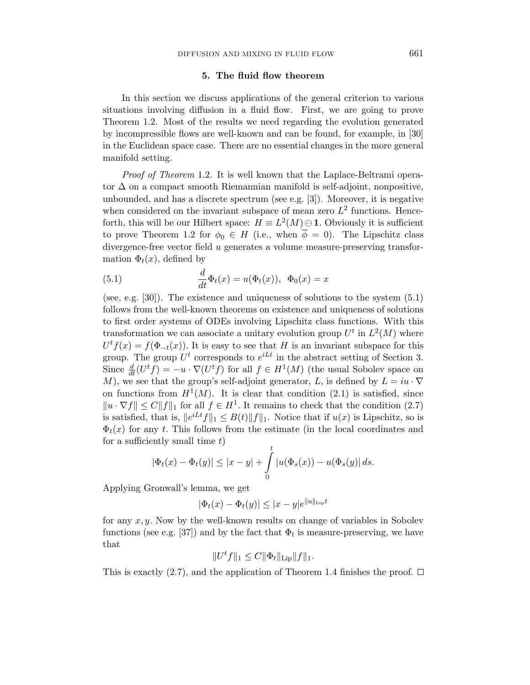### 5. The fluid flow theorem

In this section we discuss applications of the general criterion to various situations involving diffusion in a fluid flow. First, we are going to prove Theorem 1.2. Most of the results we need regarding the evolution generated by incompressible flows are well-known and can be found, for example, in [30] in the Euclidean space case. There are no essential changes in the more general manifold setting.

Proof of Theorem 1.2. It is well known that the Laplace-Beltrami operator  $\Delta$  on a compact smooth Riemannian manifold is self-adjoint, nonpositive, unbounded, and has a discrete spectrum (see e.g. [3]). Moreover, it is negative when considered on the invariant subspace of mean zero  $L^2$  functions. Henceforth, this will be our Hilbert space:  $H \equiv L^2(M) \ominus 1$ . Obviously it is sufficient to prove Theorem 1.2 for  $\phi_0 \in H$  (i.e., when  $\overline{\phi} = 0$ ). The Lipschitz class divergence-free vector field u generates a volume measure-preserving transformation  $\Phi_t(x)$ , defined by

(5.1) 
$$
\frac{d}{dt}\Phi_t(x) = u(\Phi_t(x)), \ \ \Phi_0(x) = x
$$

(see, e.g. [30]). The existence and uniqueness of solutions to the system  $(5.1)$ follows from the well-known theorems on existence and uniqueness of solutions to first order systems of ODEs involving Lipschitz class functions. With this transformation we can associate a unitary evolution group  $U^t$  in  $L^2(M)$  where  $U<sup>t</sup> f(x) = f(\Phi<sub>-t</sub>(x))$ . It is easy to see that H is an invariant subspace for this group. The group  $U^t$  corresponds to  $e^{iLt}$  in the abstract setting of Section 3. Since  $\frac{d}{dt}(U^t f) = -u \cdot \nabla(U^t f)$  for all  $f \in H^1(M)$  (the usual Sobolev space on M), we see that the group's self-adjoint generator, L, is defined by  $L = iu \cdot \nabla$ on functions from  $H^1(M)$ . It is clear that condition (2.1) is satisfied, since  $||u \cdot \nabla f|| \leq C||f||_1$  for all  $f \in H^1$ . It remains to check that the condition (2.7) is satisfied, that is,  $||e^{iLt}f||_1 \leq B(t)||f||_1$ . Notice that if  $u(x)$  is Lipschitz, so is  $\Phi_t(x)$  for any t. This follows from the estimate (in the local coordinates and for a sufficiently small time  $t$ )

$$
|\Phi_t(x) - \Phi_t(y)| \le |x - y| + \int_0^t |u(\Phi_s(x)) - u(\Phi_s(y))| ds.
$$

Applying Gronwall's lemma, we get

$$
|\Phi_t(x) - \Phi_t(y)| \le |x - y|e^{\|u\|_{\text{Lip}}t}
$$

for any  $x, y$ . Now by the well-known results on change of variables in Sobolev functions (see e.g. [37]) and by the fact that  $\Phi_t$  is measure-preserving, we have that

$$
||U^t f||_1 \leq C ||\Phi_t||_{\text{Lip}} ||f||_1.
$$

This is exactly (2.7), and the application of Theorem 1.4 finishes the proof.  $\Box$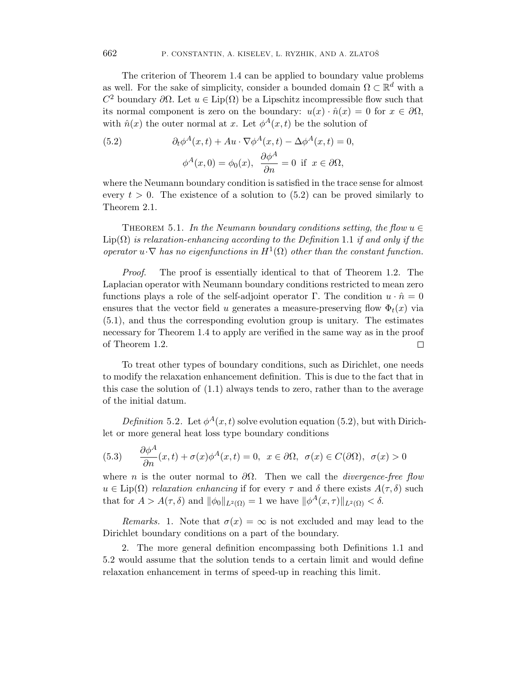The criterion of Theorem 1.4 can be applied to boundary value problems as well. For the sake of simplicity, consider a bounded domain  $\Omega \subset \mathbb{R}^d$  with a  $C^2$  boundary ∂Ω. Let  $u \in \text{Lip}(\Omega)$  be a Lipschitz incompressible flow such that its normal component is zero on the boundary:  $u(x) \cdot \hat{n}(x) = 0$  for  $x \in \partial \Omega$ , with  $\hat{n}(x)$  the outer normal at x. Let  $\phi^{A}(x,t)$  be the solution of

(5.2) 
$$
\partial_t \phi^A(x,t) + Au \cdot \nabla \phi^A(x,t) - \Delta \phi^A(x,t) = 0,
$$

$$
\phi^A(x,0) = \phi_0(x), \ \frac{\partial \phi^A}{\partial n} = 0 \ \text{if} \ x \in \partial \Omega,
$$

where the Neumann boundary condition is satisfied in the trace sense for almost every  $t > 0$ . The existence of a solution to  $(5.2)$  can be proved similarly to Theorem 2.1.

THEOREM 5.1. In the Neumann boundary conditions setting, the flow  $u \in$  $\text{Lip}(\Omega)$  is relaxation-enhancing according to the Definition 1.1 if and only if the operator  $u \cdot \nabla$  has no eigenfunctions in  $H^1(\Omega)$  other than the constant function.

Proof. The proof is essentially identical to that of Theorem 1.2. The Laplacian operator with Neumann boundary conditions restricted to mean zero functions plays a role of the self-adjoint operator Γ. The condition  $u \cdot \hat{n} = 0$ ensures that the vector field u generates a measure-preserving flow  $\Phi_t(x)$  via (5.1), and thus the corresponding evolution group is unitary. The estimates necessary for Theorem 1.4 to apply are verified in the same way as in the proof of Theorem 1.2.  $\Box$ 

To treat other types of boundary conditions, such as Dirichlet, one needs to modify the relaxation enhancement definition. This is due to the fact that in this case the solution of (1.1) always tends to zero, rather than to the average of the initial datum.

Definition 5.2. Let  $\phi^A(x,t)$  solve evolution equation (5.2), but with Dirichlet or more general heat loss type boundary conditions

(5.3) 
$$
\frac{\partial \phi^A}{\partial n}(x,t) + \sigma(x)\phi^A(x,t) = 0, \ x \in \partial\Omega, \ \sigma(x) \in C(\partial\Omega), \ \sigma(x) > 0
$$

where n is the outer normal to  $\partial\Omega$ . Then we call the *divergence-free flow*  $u \in \text{Lip}(\Omega)$  relaxation enhancing if for every  $\tau$  and  $\delta$  there exists  $A(\tau,\delta)$  such that for  $A > A(\tau, \delta)$  and  $\|\phi_0\|_{L^2(\Omega)} = 1$  we have  $\|\phi^A(x, \tau)\|_{L^2(\Omega)} < \delta$ .

Remarks. 1. Note that  $\sigma(x) = \infty$  is not excluded and may lead to the Dirichlet boundary conditions on a part of the boundary.

2. The more general definition encompassing both Definitions 1.1 and 5.2 would assume that the solution tends to a certain limit and would define relaxation enhancement in terms of speed-up in reaching this limit.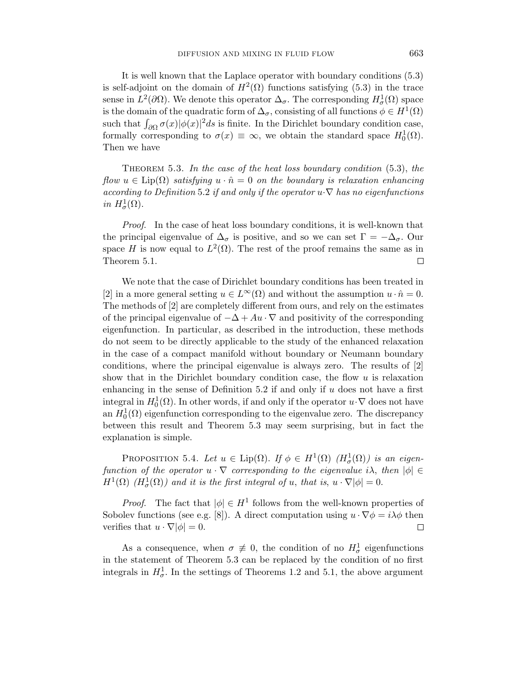It is well known that the Laplace operator with boundary conditions (5.3) is self-adjoint on the domain of  $H^2(\Omega)$  functions satisfying (5.3) in the trace sense in  $L^2(\partial\Omega)$ . We denote this operator  $\Delta_{\sigma}$ . The corresponding  $H^1_{\sigma}(\Omega)$  space is the domain of the quadratic form of  $\Delta_{\sigma}$ , consisting of all functions  $\phi \in H^1(\Omega)$ such that  $\int_{\partial\Omega} \sigma(x)|\phi(x)|^2 ds$  is finite. In the Dirichlet boundary condition case, formally corresponding to  $\sigma(x) \equiv \infty$ , we obtain the standard space  $H_0^1(\Omega)$ . Then we have

THEOREM 5.3. In the case of the heat loss boundary condition  $(5.3)$ , the flow  $u \in \text{Lip}(\Omega)$  satisfying  $u \cdot \hat{n} = 0$  on the boundary is relaxation enhancing according to Definition 5.2 if and only if the operator  $u \cdot \nabla$  has no eigenfunctions in  $H^1_\sigma(\Omega)$ .

Proof. In the case of heat loss boundary conditions, it is well-known that the principal eigenvalue of  $\Delta_{\sigma}$  is positive, and so we can set  $\Gamma = -\Delta_{\sigma}$ . Our space H is now equal to  $L^2(\Omega)$ . The rest of the proof remains the same as in Theorem 5.1.  $\Box$ 

We note that the case of Dirichlet boundary conditions has been treated in [2] in a more general setting  $u \in L^{\infty}(\Omega)$  and without the assumption  $u \cdot \hat{n} = 0$ . The methods of [2] are completely different from ours, and rely on the estimates of the principal eigenvalue of  $-\Delta + Au \cdot \nabla$  and positivity of the corresponding eigenfunction. In particular, as described in the introduction, these methods do not seem to be directly applicable to the study of the enhanced relaxation in the case of a compact manifold without boundary or Neumann boundary conditions, where the principal eigenvalue is always zero. The results of [2] show that in the Dirichlet boundary condition case, the flow  $u$  is relaxation enhancing in the sense of Definition 5.2 if and only if  $u$  does not have a first integral in  $H_0^1(\Omega)$ . In other words, if and only if the operator  $u \cdot \nabla$  does not have an  $H_0^1(\Omega)$  eigenfunction corresponding to the eigenvalue zero. The discrepancy between this result and Theorem 5.3 may seem surprising, but in fact the explanation is simple.

PROPOSITION 5.4. Let  $u \in \text{Lip}(\Omega)$ . If  $\phi \in H^1(\Omega)$   $(H^1_\sigma(\Omega))$  is an eigenfunction of the operator  $u \cdot \nabla$  corresponding to the eigenvalue i $\lambda$ , then  $|\phi| \in$  $H^1(\Omega)$  ( $H^1_\sigma(\Omega)$ ) and it is the first integral of u, that is,  $u \cdot \nabla |\phi| = 0$ .

*Proof.* The fact that  $|\phi| \in H^1$  follows from the well-known properties of Sobolev functions (see e.g. [8]). A direct computation using  $u \cdot \nabla \phi = i \lambda \phi$  then verifies that  $u \cdot \nabla |\phi| = 0$ .  $\Box$ 

As a consequence, when  $\sigma \neq 0$ , the condition of no  $H^1_\sigma$  eigenfunctions in the statement of Theorem 5.3 can be replaced by the condition of no first integrals in  $H^1_\sigma$ . In the settings of Theorems 1.2 and 5.1, the above argument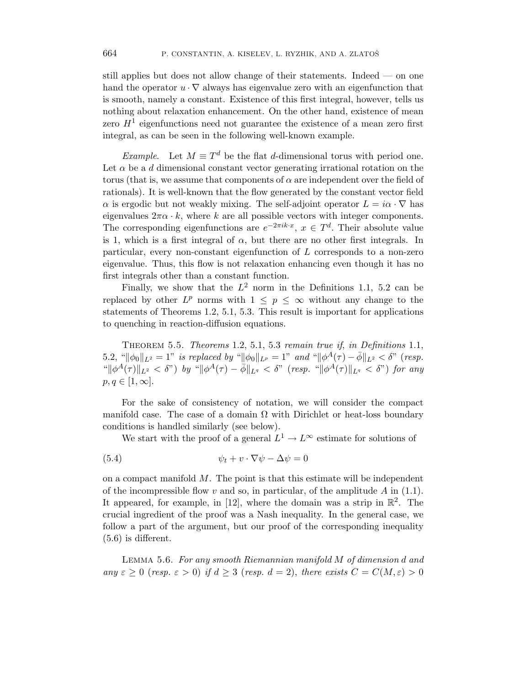still applies but does not allow change of their statements. Indeed — on one hand the operator  $u \cdot \nabla$  always has eigenvalue zero with an eigenfunction that is smooth, namely a constant. Existence of this first integral, however, tells us nothing about relaxation enhancement. On the other hand, existence of mean zero  $H<sup>1</sup>$  eigenfunctions need not guarantee the existence of a mean zero first integral, as can be seen in the following well-known example.

Example. Let  $M \equiv T^d$  be the flat d-dimensional torus with period one. Let  $\alpha$  be a d dimensional constant vector generating irrational rotation on the torus (that is, we assume that components of  $\alpha$  are independent over the field of rationals). It is well-known that the flow generated by the constant vector field  $\alpha$  is ergodic but not weakly mixing. The self-adjoint operator  $L = i\alpha \cdot \nabla$  has eigenvalues  $2\pi\alpha \cdot k$ , where k are all possible vectors with integer components. The corresponding eigenfunctions are  $e^{-2\pi i k \cdot x}$ ,  $x \in T^d$ . Their absolute value is 1, which is a first integral of  $\alpha$ , but there are no other first integrals. In particular, every non-constant eigenfunction of  $L$  corresponds to a non-zero eigenvalue. Thus, this flow is not relaxation enhancing even though it has no first integrals other than a constant function.

Finally, we show that the  $L^2$  norm in the Definitions 1.1, 5.2 can be replaced by other  $L^p$  norms with  $1 \leq p \leq \infty$  without any change to the statements of Theorems 1.2, 5.1, 5.3. This result is important for applications to quenching in reaction-diffusion equations.

THEOREM 5.5. Theorems 1.2, 5.1, 5.3 remain true if, in Definitions 1.1, 5.2, " $\|\phi_0\|_{L^2} = 1$ " is replaced by " $\|\phi_0\|_{L^p} = 1$ " and " $\|\phi^A(\tau) - \bar{\phi}\|_{L^2} < \delta$ " (resp.  $\|\phi^A(\tau)\|_{L^2} < \delta$ ") by " $\|\phi^A(\tau) - \overline{\phi}\|_{L^q} < \delta$ " (resp. " $\|\phi^A(\tau)\|_{L^q} < \delta$ ") for any  $p, q \in [1, \infty].$ 

For the sake of consistency of notation, we will consider the compact manifold case. The case of a domain  $\Omega$  with Dirichlet or heat-loss boundary conditions is handled similarly (see below).

We start with the proof of a general  $L^1 \to L^\infty$  estimate for solutions of

(5.4) 
$$
\psi_t + v \cdot \nabla \psi - \Delta \psi = 0
$$

on a compact manifold  $M$ . The point is that this estimate will be independent of the incompressible flow v and so, in particular, of the amplitude  $A$  in (1.1). It appeared, for example, in [12], where the domain was a strip in  $\mathbb{R}^2$ . The crucial ingredient of the proof was a Nash inequality. In the general case, we follow a part of the argument, but our proof of the corresponding inequality  $(5.6)$  is different.

Lemma 5.6. For any smooth Riemannian manifold M of dimension d and any  $\varepsilon \geq 0$  (resp.  $\varepsilon > 0$ ) if  $d \geq 3$  (resp.  $d = 2$ ), there exists  $C = C(M, \varepsilon) > 0$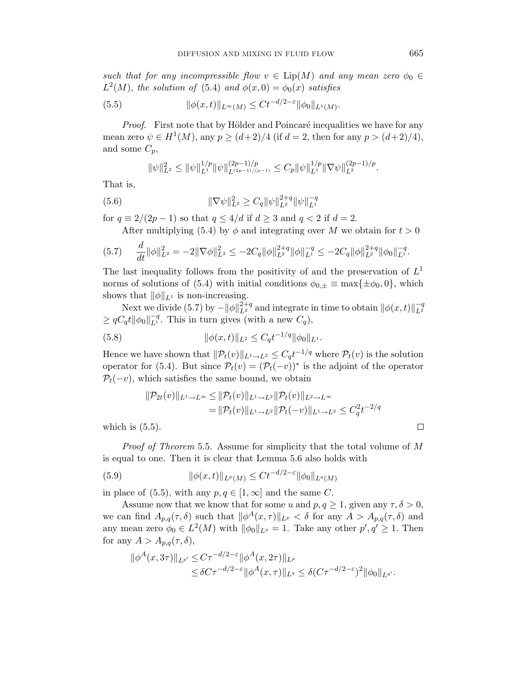such that for any incompressible flow  $v \in Lip(M)$  and any mean zero  $\phi_0 \in$  $L^2(M)$ , the solution of (5.4) and  $\phi(x,0) = \phi_0(x)$  satisfies

(5.5) 
$$
\|\phi(x,t)\|_{L^{\infty}(M)} \leq Ct^{-d/2-\varepsilon}\|\phi_0\|_{L^1(M)}.
$$

*Proof.* First note that by Hölder and Poincaré inequalities we have for any mean zero  $\psi \in H^{1}(M)$ , any  $p \ge (d+2)/4$  (if  $d = 2$ , then for any  $p > (d+2)/4$ ), and some  $C_p$ ,

$$
\|\psi\|_{L^2}^2 \le \|\psi\|_{L^1}^{1/p} \|\psi\|_{L^{(2p-1)/(p-1)}}^{(2p-1)/p} \le C_p \|\psi\|_{L^1}^{1/p} \|\nabla \psi\|_{L^2}^{(2p-1)/p}.
$$

That is,

(5.6) 
$$
\|\nabla \psi\|_{L^2}^2 \ge C_q \|\psi\|_{L^2}^{2+q} \|\psi\|_{L^1}^{-q}
$$

for  $q \equiv 2/(2p-1)$  so that  $q \leq 4/d$  if  $d \geq 3$  and  $q < 2$  if  $d = 2$ .

After multiplying (5.4) by  $\phi$  and integrating over M we obtain for  $t > 0$ 

$$
(5.7) \quad \frac{d}{dt} \|\phi\|_{L^2}^2 = -2\|\nabla\phi\|_{L^2}^2 \leq -2C_q \|\phi\|_{L^2}^{2+q} \|\phi\|_{L^1}^{-q} \leq -2C_q \|\phi\|_{L^2}^{2+q} \|\phi_0\|_{L^1}^{-q}.
$$

The last inequality follows from the positivity of and the preservation of  $L^1$ norms of solutions of (5.4) with initial conditions  $\phi_{0,\pm} \equiv \max{\{\pm \phi_0, 0\}}$ , which shows that  $\|\phi\|_{L^1}$  is non-increasing.

Next we divide (5.7) by  $-\|\phi\|_{L^2}^{2+q}$  and integrate in time to obtain  $\|\phi(x,t)\|_{L^2}^{-q}$  $L^2$  $\geq qC_q t ||\phi_0||_{L^1}^{-q}$ . This in turn gives (with a new  $C_q$ ),

(5.8) 
$$
\|\phi(x,t)\|_{L^2} \leq C_q t^{-1/q} \|\phi_0\|_{L^1}.
$$

Hence we have shown that  $\|\mathcal{P}_t(v)\|_{L^1\to L^2} \leq C_q t^{-1/q}$  where  $\mathcal{P}_t(v)$  is the solution operator for (5.4). But since  $\mathcal{P}_t(v) = (\mathcal{P}_t(-v))^*$  is the adjoint of the operator  $P_t(-v)$ , which satisfies the same bound, we obtain

$$
\|\mathcal{P}_{2t}(v)\|_{L^1 \to L^\infty} \le \|\mathcal{P}_t(v)\|_{L^1 \to L^2} \|\mathcal{P}_t(v)\|_{L^2 \to L^\infty}
$$
  
= 
$$
\|\mathcal{P}_t(v)\|_{L^1 \to L^2} \|\mathcal{P}_t(-v)\|_{L^1 \to L^2} \le C_q^2 t^{-2/q}
$$

which is  $(5.5)$ .

Proof of Theorem 5.5. Assume for simplicity that the total volume of M is equal to one. Then it is clear that Lemma 5.6 also holds with

(5.9) 
$$
\|\phi(x,t)\|_{L^p(M)} \leq Ct^{-d/2-\varepsilon} \|\phi_0\|_{L^q(M)}
$$

in place of (5.5), with any  $p, q \in [1, \infty]$  and the same C.

Assume now that we know that for some u and  $p, q \ge 1$ , given any  $\tau, \delta > 0$ , we can find  $A_{p,q}(\tau,\delta)$  such that  $\|\phi^A(x,\tau)\|_{L^p} < \delta$  for any  $A > A_{p,q}(\tau,\delta)$  and any mean zero  $\phi_0 \in L^2(M)$  with  $\|\phi_0\|_{L^q} = 1$ . Take any other  $p', q' \geq 1$ . Then for any  $A > A_{p,q}(\tau, \delta)$ ,

$$
\|\phi^A(x,3\tau)\|_{L^{p'}} \leq C\tau^{-d/2-\varepsilon} \|\phi^A(x,2\tau)\|_{L^p} \leq \delta C\tau^{-d/2-\varepsilon} \|\phi^A(x,\tau)\|_{L^q} \leq \delta (C\tau^{-d/2-\varepsilon})^2 \|\phi_0\|_{L^{q'}}.
$$

 $\Box$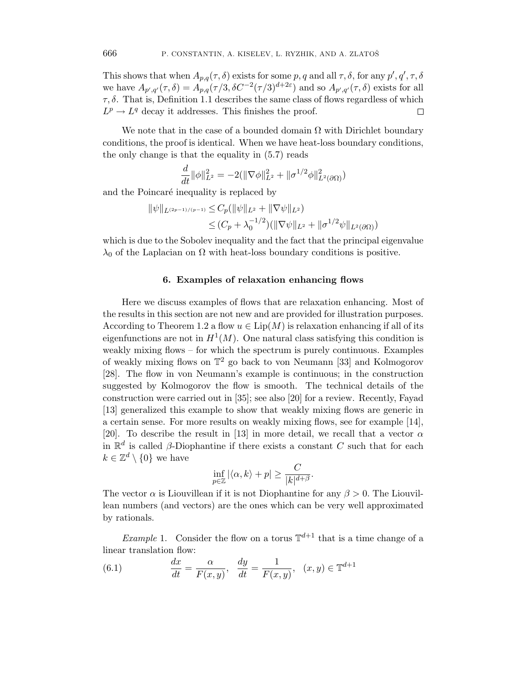This shows that when  $A_{p,q}(\tau,\delta)$  exists for some p, q and all  $\tau,\delta$ , for any  $p',q',\tau,\delta$ we have  $A_{p',q'}(\tau,\delta) = A_{p,q}(\tau/3,\delta C^{-2}(\tau/3)^{d+2\varepsilon})$  and so  $A_{p',q'}(\tau,\delta)$  exists for all  $\tau$ ,  $\delta$ . That is, Definition 1.1 describes the same class of flows regardless of which  $L^p \to L^q$  decay it addresses. This finishes the proof.  $\Box$ 

We note that in the case of a bounded domain  $\Omega$  with Dirichlet boundary conditions, the proof is identical. When we have heat-loss boundary conditions, the only change is that the equality in (5.7) reads

$$
\frac{d}{dt} \|\phi\|_{L^2}^2 = -2(\|\nabla \phi\|_{L^2}^2 + \|\sigma^{1/2}\phi\|_{L^2(\partial\Omega)}^2)
$$

and the Poincaré inequality is replaced by

$$
\|\psi\|_{L^{(2p-1)/(p-1)}} \leq C_p(\|\psi\|_{L^2} + \|\nabla\psi\|_{L^2})
$$
  

$$
\leq (C_p + \lambda_0^{-1/2})(\|\nabla\psi\|_{L^2} + \|\sigma^{1/2}\psi\|_{L^2(\partial\Omega)})
$$

which is due to the Sobolev inequality and the fact that the principal eigenvalue  $\lambda_0$  of the Laplacian on  $\Omega$  with heat-loss boundary conditions is positive.

#### 6. Examples of relaxation enhancing flows

Here we discuss examples of flows that are relaxation enhancing. Most of the results in this section are not new and are provided for illustration purposes. According to Theorem 1.2 a flow  $u \in \text{Lip}(M)$  is relaxation enhancing if all of its eigenfunctions are not in  $H^1(M)$ . One natural class satisfying this condition is weakly mixing flows – for which the spectrum is purely continuous. Examples of weakly mixing flows on  $\mathbb{T}^2$  go back to von Neumann [33] and Kolmogorov [28]. The flow in von Neumann's example is continuous; in the construction suggested by Kolmogorov the flow is smooth. The technical details of the construction were carried out in [35]; see also [20] for a review. Recently, Fayad [13] generalized this example to show that weakly mixing flows are generic in a certain sense. For more results on weakly mixing flows, see for example [14], [20]. To describe the result in [13] in more detail, we recall that a vector  $\alpha$ in  $\mathbb{R}^d$  is called  $\beta$ -Diophantine if there exists a constant C such that for each  $k \in \mathbb{Z}^d \setminus \{0\}$  we have

$$
\inf_{p\in\mathbb{Z}}|\langle\alpha,k\rangle+p|\geq\frac{C}{|k|^{d+\beta}}.
$$

The vector  $\alpha$  is Liouvillean if it is not Diophantine for any  $\beta > 0$ . The Liouvillean numbers (and vectors) are the ones which can be very well approximated by rationals.

*Example* 1. Consider the flow on a torus  $\mathbb{T}^{d+1}$  that is a time change of a linear translation flow:

(6.1) 
$$
\frac{dx}{dt} = \frac{\alpha}{F(x,y)}, \quad \frac{dy}{dt} = \frac{1}{F(x,y)}, \quad (x,y) \in \mathbb{T}^{d+1}
$$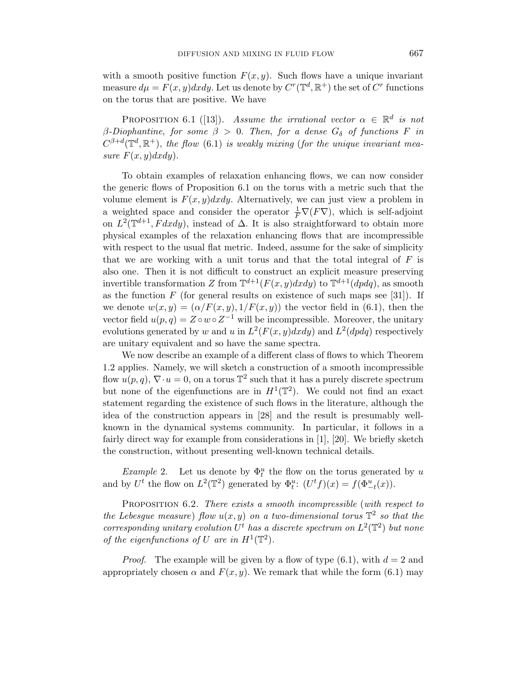with a smooth positive function  $F(x, y)$ . Such flows have a unique invariant measure  $d\mu = F(x, y)dxdy$ . Let us denote by  $C^r(\mathbb{T}^d, \mathbb{R}^+)$  the set of  $C^r$  functions on the torus that are positive. We have

PROPOSITION 6.1 ([13]). Assume the irrational vector  $\alpha \in \mathbb{R}^d$  is not β-Diophantine, for some  $β > 0$ . Then, for a dense  $G_δ$  of functions F in  $C^{\beta+d}(\mathbb{T}^d,\mathbb{R}^+),$  the flow (6.1) is weakly mixing (for the unique invariant measure  $F(x, y)dxdy$ .

To obtain examples of relaxation enhancing flows, we can now consider the generic flows of Proposition 6.1 on the torus with a metric such that the volume element is  $F(x, y)dxdy$ . Alternatively, we can just view a problem in a weighted space and consider the operator  $\frac{1}{F}\nabla(F\nabla)$ , which is self-adjoint on  $L^2(\mathbb{T}^{d+1}, F dx dy)$ , instead of  $\Delta$ . It is also straightforward to obtain more physical examples of the relaxation enhancing flows that are incompressible with respect to the usual flat metric. Indeed, assume for the sake of simplicity that we are working with a unit torus and that the total integral of  $F$  is also one. Then it is not difficult to construct an explicit measure preserving invertible transformation Z from  $\mathbb{T}^{d+1}(F(x,y)dxdy)$  to  $\mathbb{T}^{d+1}(dpdq)$ , as smooth as the function  $F$  (for general results on existence of such maps see [31]). If we denote  $w(x, y) = (\alpha/F(x, y), 1/F(x, y))$  the vector field in (6.1), then the vector field  $u(p,q) = Z \circ w \circ Z^{-1}$  will be incompressible. Moreover, the unitary evolutions generated by w and u in  $L^2(F(x, y)dxdy)$  and  $L^2(dpdq)$  respectively are unitary equivalent and so have the same spectra.

We now describe an example of a different class of flows to which Theorem 1.2 applies. Namely, we will sketch a construction of a smooth incompressible flow  $u(p,q)$ ,  $\nabla \cdot u = 0$ , on a torus  $\mathbb{T}^2$  such that it has a purely discrete spectrum but none of the eigenfunctions are in  $H^1(\mathbb{T}^2)$ . We could not find an exact statement regarding the existence of such flows in the literature, although the idea of the construction appears in [28] and the result is presumably wellknown in the dynamical systems community. In particular, it follows in a fairly direct way for example from considerations in [1], [20]. We briefly sketch the construction, without presenting well-known technical details.

Example 2. Let us denote by  $\Phi_t^u$  the flow on the torus generated by u and by  $U^t$  the flow on  $L^2(\mathbb{T}^2)$  generated by  $\Phi_t^u$ :  $(U^t f)(x) = f(\Phi_{-t}^u(x))$ .

PROPOSITION 6.2. There exists a smooth incompressible (with respect to the Lebesgue measure) flow  $u(x, y)$  on a two-dimensional torus  $\mathbb{T}^2$  so that the corresponding unitary evolution  $U^t$  has a discrete spectrum on  $L^2(\mathbb{T}^2)$  but none of the eigenfunctions of U are in  $H^1(\mathbb{T}^2)$ .

*Proof.* The example will be given by a flow of type  $(6.1)$ , with  $d = 2$  and appropriately chosen  $\alpha$  and  $F(x, y)$ . We remark that while the form (6.1) may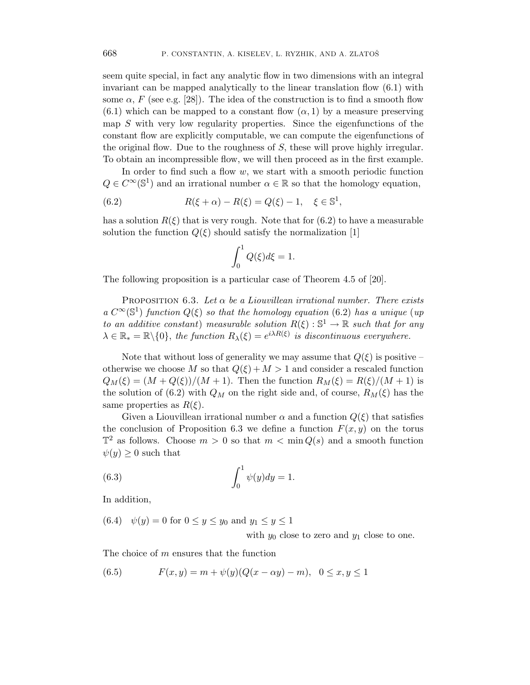seem quite special, in fact any analytic flow in two dimensions with an integral invariant can be mapped analytically to the linear translation flow (6.1) with some  $\alpha$ , F (see e.g. [28]). The idea of the construction is to find a smooth flow  $(6.1)$  which can be mapped to a constant flow  $(\alpha, 1)$  by a measure preserving map S with very low regularity properties. Since the eigenfunctions of the constant flow are explicitly computable, we can compute the eigenfunctions of the original flow. Due to the roughness of S, these will prove highly irregular. To obtain an incompressible flow, we will then proceed as in the first example.

In order to find such a flow  $w$ , we start with a smooth periodic function  $Q \in C^{\infty}(\mathbb{S}^{1})$  and an irrational number  $\alpha \in \mathbb{R}$  so that the homology equation,

(6.2) 
$$
R(\xi + \alpha) - R(\xi) = Q(\xi) - 1, \quad \xi \in \mathbb{S}^{1},
$$

has a solution  $R(\xi)$  that is very rough. Note that for (6.2) to have a measurable solution the function  $Q(\xi)$  should satisfy the normalization [1]

$$
\int_0^1 Q(\xi)d\xi = 1.
$$

The following proposition is a particular case of Theorem 4.5 of [20].

**PROPOSITION** 6.3. Let  $\alpha$  be a Liouvillean irrational number. There exists a  $C^{\infty}(\mathbb{S}^1)$  function  $Q(\xi)$  so that the homology equation (6.2) has a unique (up to an additive constant) measurable solution  $R(\xi): \mathbb{S}^1 \to \mathbb{R}$  such that for any  $\lambda \in \mathbb{R}_* = \mathbb{R} \setminus \{0\}$ , the function  $R_{\lambda}(\xi) = e^{i\lambda R(\xi)}$  is discontinuous everywhere.

Note that without loss of generality we may assume that  $Q(\xi)$  is positive – otherwise we choose M so that  $Q(\xi) + M > 1$  and consider a rescaled function  $Q_M(\xi) = (M + Q(\xi))/(M + 1)$ . Then the function  $R_M(\xi) = R(\xi)/(M + 1)$  is the solution of (6.2) with  $Q_M$  on the right side and, of course,  $R_M(\xi)$  has the same properties as  $R(\xi)$ .

Given a Liouvillean irrational number  $\alpha$  and a function  $Q(\xi)$  that satisfies the conclusion of Proposition 6.3 we define a function  $F(x, y)$  on the torus  $\mathbb{T}^2$  as follows. Choose  $m > 0$  so that  $m < \min Q(s)$  and a smooth function  $\psi(y) \geq 0$  such that

(6.3) 
$$
\int_0^1 \psi(y) dy = 1.
$$

In addition,

(6.4) 
$$
\psi(y) = 0
$$
 for  $0 \le y \le y_0$  and  $y_1 \le y \le 1$   
with  $y_0$  close to zero and  $y_1$  close to one.

The choice of m ensures that the function

(6.5) 
$$
F(x, y) = m + \psi(y)(Q(x - \alpha y) - m), \quad 0 \le x, y \le 1
$$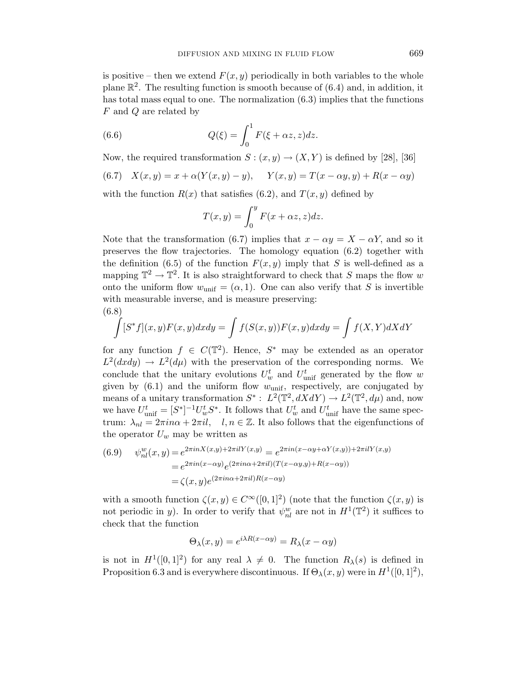is positive – then we extend  $F(x, y)$  periodically in both variables to the whole plane  $\mathbb{R}^2$ . The resulting function is smooth because of (6.4) and, in addition, it has total mass equal to one. The normalization (6.3) implies that the functions F and Q are related by

(6.6) 
$$
Q(\xi) = \int_0^1 F(\xi + \alpha z, z) dz.
$$

Now, the required transformation  $S: (x, y) \rightarrow (X, Y)$  is defined by [28], [36]

(6.7) 
$$
X(x, y) = x + \alpha(Y(x, y) - y),
$$
  $Y(x, y) = T(x - \alpha y, y) + R(x - \alpha y)$ 

with the function  $R(x)$  that satisfies (6.2), and  $T(x, y)$  defined by

$$
T(x,y) = \int_0^y F(x + \alpha z, z) dz.
$$

Note that the transformation (6.7) implies that  $x - \alpha y = X - \alpha Y$ , and so it preserves the flow trajectories. The homology equation (6.2) together with the definition (6.5) of the function  $F(x, y)$  imply that S is well-defined as a mapping  $\mathbb{T}^2 \to \mathbb{T}^2$ . It is also straightforward to check that S maps the flow w onto the uniform flow  $w_{\text{unif}} = (\alpha, 1)$ . One can also verify that S is invertible with measurable inverse, and is measure preserving: (6.8)

$$
\int [S^*f](x,y)F(x,y)dxdy = \int f(S(x,y))F(x,y)dxdy = \int f(X,Y)dXdY
$$

for any function  $f \in C(\mathbb{T}^2)$ . Hence,  $S^*$  may be extended as an operator  $L^2(dxdy) \to L^2(d\mu)$  with the preservation of the corresponding norms. We conclude that the unitary evolutions  $U_w^t$  and  $U_{\text{unif}}^t$  generated by the flow w given by  $(6.1)$  and the uniform flow  $w_{\text{unif}}$ , respectively, are conjugated by means of a unitary transformation  $S^*$ :  $L^2(\mathbb{T}^2, dXdY) \to L^2(\mathbb{T}^2, d\mu)$  and, now we have  $U_{\text{unif}}^t = [S^*]^{-1} U_w^t S^*$ . It follows that  $U_w^t$  and  $U_{\text{unif}}^t$  have the same spectrum:  $\lambda_{nl} = 2\pi in\alpha + 2\pi il$ ,  $l, n \in \mathbb{Z}$ . It also follows that the eigenfunctions of the operator  $U_w$  may be written as

(6.9) 
$$
\psi_{nl}^w(x, y) = e^{2\pi i n X(x, y) + 2\pi i l Y(x, y)} = e^{2\pi i n (x - \alpha y + \alpha Y(x, y)) + 2\pi i l Y(x, y)}
$$

$$
= e^{2\pi i n (x - \alpha y)} e^{(2\pi i n \alpha + 2\pi i l) (T(x - \alpha y, y) + R(x - \alpha y))}
$$

$$
= \zeta(x, y) e^{(2\pi i n \alpha + 2\pi i l) R(x - \alpha y)}
$$

with a smooth function  $\zeta(x, y) \in C^{\infty}([0, 1]^2)$  (note that the function  $\zeta(x, y)$  is not periodic in y). In order to verify that  $\psi_{nl}^w$  are not in  $H^1(\mathbb{T}^2)$  it suffices to check that the function

$$
\Theta_{\lambda}(x, y) = e^{i\lambda R(x - \alpha y)} = R_{\lambda}(x - \alpha y)
$$

is not in  $H^1([0,1]^2)$  for any real  $\lambda \neq 0$ . The function  $R_\lambda(s)$  is defined in Proposition 6.3 and is everywhere discontinuous. If  $\Theta_{\lambda}(x, y)$  were in  $H^1([0, 1]^2)$ ,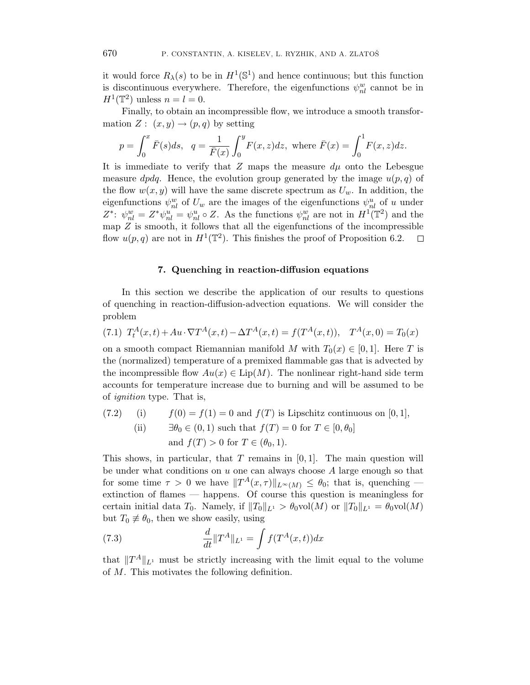it would force  $R_{\lambda}(s)$  to be in  $H^1(\mathbb{S}^1)$  and hence continuous; but this function is discontinuous everywhere. Therefore, the eigenfunctions  $\psi_{nl}^w$  cannot be in  $H^1(\mathbb{T}^2)$  unless  $n = l = 0$ .

Finally, to obtain an incompressible flow, we introduce a smooth transformation  $Z: (x, y) \rightarrow (p, q)$  by setting

$$
p = \int_0^x \bar{F}(s)ds
$$
,  $q = \frac{1}{\bar{F}(x)} \int_0^y F(x, z)dz$ , where  $\bar{F}(x) = \int_0^1 F(x, z)dz$ .

It is immediate to verify that Z maps the measure  $d\mu$  onto the Lebesgue measure *dpdq*. Hence, the evolution group generated by the image  $u(p,q)$  of the flow  $w(x, y)$  will have the same discrete spectrum as  $U_w$ . In addition, the eigenfunctions  $\psi_{nl}^w$  of  $U_w$  are the images of the eigenfunctions  $\psi_{nl}^u$  of u under  $Z^*$ :  $\psi_{nl}^w = Z^* \psi_{nl}^u = \psi_{nl}^u \circ Z$ . As the functions  $\psi_{nl}^w$  are not in  $H^1(\mathbb{T}^2)$  and the map  $Z$  is smooth, it follows that all the eigenfunctions of the incompressible flow  $u(p,q)$  are not in  $H^1(\mathbb{T}^2)$ . This finishes the proof of Proposition 6.2.  $\Box$ 

# 7. Quenching in reaction-diffusion equations

In this section we describe the application of our results to questions of quenching in reaction-diffusion-advection equations. We will consider the problem

$$
(7.1) TtA(x,t) + Au \cdot \nabla TA(x,t) - \Delta TA(x,t) = f(TA(x,t)), TA(x,0) = T0(x)
$$

on a smooth compact Riemannian manifold M with  $T_0(x) \in [0,1]$ . Here T is the (normalized) temperature of a premixed flammable gas that is advected by the incompressible flow  $Au(x) \in \text{Lip}(M)$ . The nonlinear right-hand side term accounts for temperature increase due to burning and will be assumed to be of ignition type. That is,

(7.2) (i) 
$$
f(0) = f(1) = 0
$$
 and  $f(T)$  is Lipschitz continuous on [0, 1], \n (ii)  $\exists \theta_0 \in (0, 1)$  such that  $f(T) = 0$  for  $T \in [0, \theta_0]$  and  $f(T) > 0$  for  $T \in (\theta_0, 1)$ .

This shows, in particular, that T remains in  $[0, 1]$ . The main question will be under what conditions on  $u$  one can always choose  $A$  large enough so that for some time  $\tau > 0$  we have  $||T^A(x, \tau)||_{L^{\infty}(M)} \leq \theta_0$ ; that is, quenching extinction of flames — happens. Of course this question is meaningless for certain initial data  $T_0$ . Namely, if  $||T_0||_{L^1} > \theta_0$ vol $(M)$  or  $||T_0||_{L^1} = \theta_0$ vol $(M)$ but  $T_0 \not\equiv \theta_0$ , then we show easily, using

(7.3) 
$$
\frac{d}{dt} \|T^A\|_{L^1} = \int f(T^A(x,t)) dx
$$

that  $||T^A||_{L^1}$  must be strictly increasing with the limit equal to the volume of M. This motivates the following definition.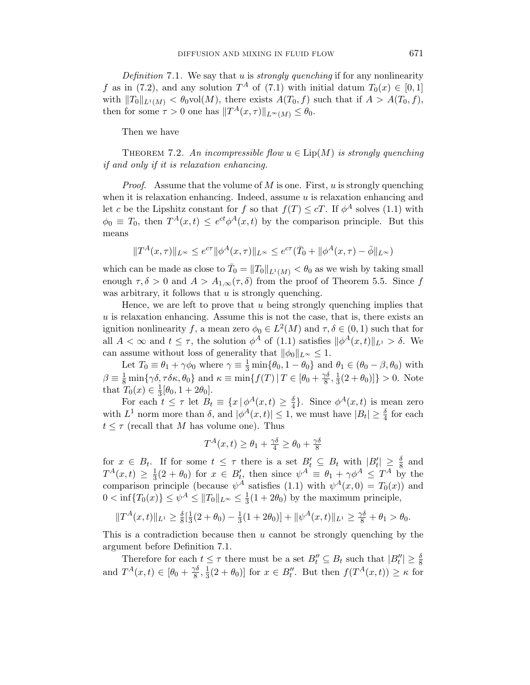Definition 7.1. We say that u is *strongly quenching* if for any nonlinearity f as in (7.2), and any solution  $T^A$  of (7.1) with initial datum  $T_0(x) \in [0,1]$ with  $||T_0||_{L^1(M)} < \theta_0$ vol $(M)$ , there exists  $A(T_0, f)$  such that if  $A > A(T_0, f)$ , then for some  $\tau > 0$  one has  $||T^A(x, \tau)||_{L^{\infty}(M)} \leq \theta_0$ .

Then we have

THEOREM 7.2. An incompressible flow  $u \in \text{Lip}(M)$  is strongly quenching if and only if it is relaxation enhancing.

*Proof.* Assume that the volume of  $M$  is one. First,  $u$  is strongly quenching when it is relaxation enhancing. Indeed, assume  $u$  is relaxation enhancing and let c be the Lipshitz constant for f so that  $f(T) \leq cT$ . If  $\phi^A$  solves (1.1) with  $\phi_0 \equiv T_0$ , then  $T^A(x,t) \leq e^{ct} \phi^A(x,t)$  by the comparison principle. But this means

$$
\|T^A(x,\tau)\|_{L^\infty} \leq e^{c\tau}\|\phi^A(x,\tau)\|_{L^\infty} \leq e^{c\tau}(\bar{T}_0+\|\phi^A(x,\tau)-\bar{\phi}\|_{L^\infty})
$$

which can be made as close to  $\bar{T}_0 = ||T_0||_{L^1(M)} < \theta_0$  as we wish by taking small enough  $\tau, \delta > 0$  and  $A > A_{1,\infty}(\tau, \delta)$  from the proof of Theorem 5.5. Since f was arbitrary, it follows that  $u$  is strongly quenching.

Hence, we are left to prove that u being strongly quenching implies that  $u$  is relaxation enhancing. Assume this is not the case, that is, there exists an ignition nonlinearity f, a mean zero  $\phi_0 \in L^2(M)$  and  $\tau, \delta \in (0, 1)$  such that for all  $A < \infty$  and  $t \leq \tau$ , the solution  $\phi^A$  of (1.1) satisfies  $\|\phi^A(x,t)\|_{L^1} > \delta$ . We can assume without loss of generality that  $\|\phi_0\|_{L^{\infty}} \leq 1$ .

Let  $T_0 \equiv \theta_1 + \gamma \phi_0$  where  $\gamma \equiv \frac{1}{3} \min{\{\theta_0, 1 - \theta_0\}}$  and  $\theta_1 \in (\theta_0 - \beta, \theta_0)$  with  $\beta \equiv \frac{1}{8} \min{\{\gamma \delta, \tau \delta \kappa, \theta_0\}}$  and  $\kappa \equiv \min{\{f(T) | T \in [\theta_0 + \frac{\gamma \delta}{8}]}$  $\frac{\gamma\delta}{8},\frac{1}{3}$  $\frac{1}{3}(2+\theta_0)]\} > 0.$  Note that  $T_0(x) \in \frac{1}{3}$  $\frac{1}{3}[\theta_0, 1 + 2\theta_0].$ 

For each  $t \leq \tau$  let  $B_t \equiv \{x \mid \phi^A(x,t) \geq \frac{\delta}{4}$  $\frac{\delta}{4}$ . Since  $\phi^A(x,t)$  is mean zero with  $L^1$  norm more than  $\delta$ , and  $|\phi^A(x,t)| \leq 1$ , we must have  $|B_t| \geq \frac{\delta}{4}$  for each  $t \leq \tau$  (recall that M has volume one). Thus

$$
T^{A}(x,t) \geq \theta_1 + \frac{\gamma \delta}{4} \geq \theta_0 + \frac{\gamma \delta}{8}
$$

for  $x \in B_t$ . If for some  $t \leq \tau$  there is a set  $B'_t \subseteq B_t$  with  $|B'_t| \geq \frac{\delta}{8}$  and  $T^A(x,t) \geq \frac{1}{3}$  $\frac{1}{3}(2 + \theta_0)$  for  $x \in B'_t$ , then since  $\psi^A \equiv \theta_1 + \gamma \phi^A \leq T^A$  by the comparison principle (because  $\psi^A$  satisfies (1.1) with  $\psi^A(x,0) = T_0(x)$ ) and  $0 < \inf\{T_0(x)\} \leq \psi^A \leq ||T_0||_{L^{\infty}} \leq \frac{1}{3}$  $\frac{1}{3}(1+2\theta_0)$  by the maximum principle,

$$
||T^A(x,t)||_{L^1} \ge \frac{\delta}{8}[\frac{1}{3}(2+\theta_0) - \frac{1}{3}(1+2\theta_0)] + ||\psi^A(x,t)||_{L^1} \ge \frac{\gamma\delta}{8} + \theta_1 > \theta_0.
$$

This is a contradiction because then u cannot be strongly quenching by the argument before Definition 7.1.

Therefore for each  $t \leq \tau$  there must be a set  $B''_t \subseteq B_t$  such that  $|B''_t| \geq \frac{\delta}{8}$ and  $T^A(x,t) \in [\theta_0 + \frac{\gamma \delta}{8}]$  $\frac{\gamma\delta}{8},\frac{1}{3}$  $\frac{1}{3}(2+\theta_0)$  for  $x \in B_t''$ . But then  $f(T^A(x,t)) \geq \kappa$  for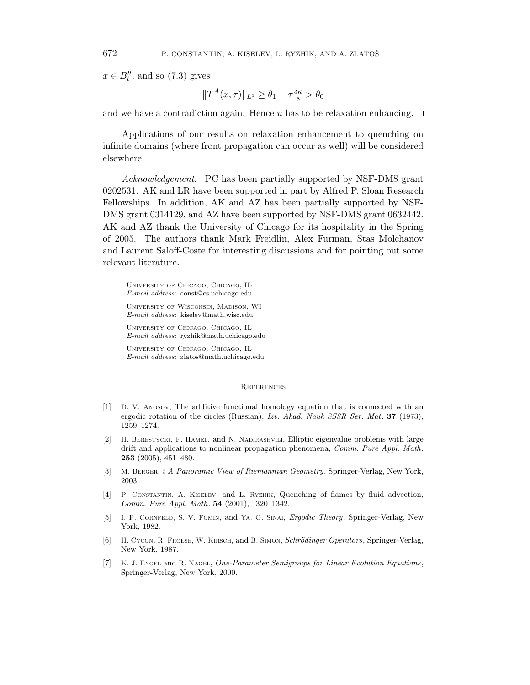$x \in B_t''$ , and so (7.3) gives

$$
||T^A(x,\tau)||_{L^1} \ge \theta_1 + \tau \frac{\delta \kappa}{8} > \theta_0
$$

and we have a contradiction again. Hence u has to be relaxation enhancing.  $\Box$ 

Applications of our results on relaxation enhancement to quenching on infinite domains (where front propagation can occur as well) will be considered elsewhere.

Acknowledgement. PC has been partially supported by NSF-DMS grant 0202531. AK and LR have been supported in part by Alfred P. Sloan Research Fellowships. In addition, AK and AZ has been partially supported by NSF-DMS grant 0314129, and AZ have been supported by NSF-DMS grant 0632442. AK and AZ thank the University of Chicago for its hospitality in the Spring of 2005. The authors thank Mark Freidlin, Alex Furman, Stas Molchanov and Laurent Saloff-Coste for interesting discussions and for pointing out some relevant literature.

University of Chicago, Chicago, IL E-mail address: const@cs.uchicago.edu University of Wisconsin, Madison, WI E-mail address: kiselev@math.wisc.edu University of Chicago, Chicago, IL E-mail address: ryzhik@math.uchicago.edu

University of Chicago, Chicago, IL E-mail address: zlatos@math.uchicago.edu

#### **REFERENCES**

- [1] D. V. Anosov, The additive functional homology equation that is connected with an ergodic rotation of the circles (Russian), Izv. Akad. Nauk SSSR Ser. Mat. 37 (1973), 1259–1274.
- [2] H. Berestycki, F. Hamel, and N. Nadirashvili, Elliptic eigenvalue problems with large drift and applications to nonlinear propagation phenomena, Comm. Pure Appl. Math. 253 (2005), 451–480.
- [3] M. Berger, t A Panoramic View of Riemannian Geometry. Springer-Verlag, New York, 2003.
- [4] P. CONSTANTIN, A. KISELEV, and L. RYZHIK, Quenching of flames by fluid advection, Comm. Pure Appl. Math. 54 (2001), 1320–1342.
- [5] I. P. Cornfeld, S. V. Fomin, and Ya. G. Sinai, Ergodic Theory, Springer-Verlag, New York, 1982.
- [6] H. Cycon, R. Froese, W. Kirsch, and B. Simon, Schrödinger Operators, Springer-Verlag, New York, 1987.
- [7] K. J. Engel and R. Nagel, *One-Parameter Semigroups for Linear Evolution Equations*, Springer-Verlag, New York, 2000.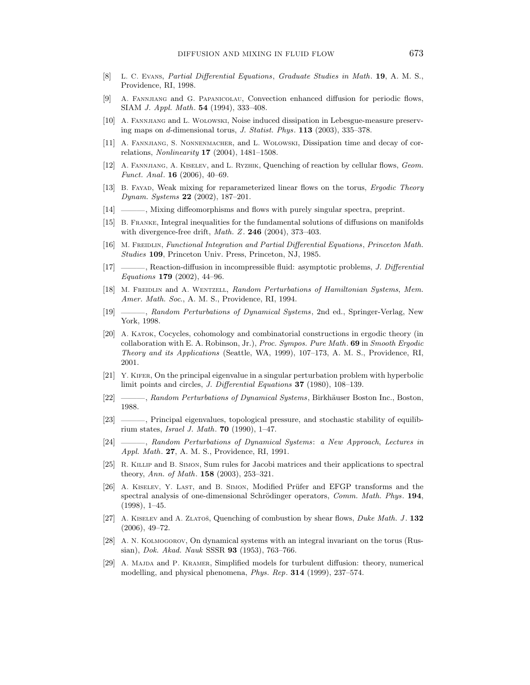- [8] L. C. Evans, Partial Differential Equations, Graduate Studies in Math. 19, A. M. S., Providence, RI, 1998.
- [9] A. Fannjiang and G. Papanicolau, Convection enhanced diffusion for periodic flows, SIAM J. Appl. Math. 54 (1994), 333–408.
- [10] A. Fannjiang and L. Wolowski, Noise induced dissipation in Lebesgue-measure preserving maps on d-dimensional torus, J. Statist. Phys. 113 (2003), 335–378.
- [11] A. FANNJIANG, S. NONNENMACHER, and L. WOLOWSKI, Dissipation time and decay of correlations, Nonlinearity 17 (2004), 1481–1508.
- [12] A. FANNJIANG, A. KISELEV, and L. RYZHIK, Quenching of reaction by cellular flows, Geom. Funct. Anal. 16 (2006), 40–69.
- [13] B. Fayad, Weak mixing for reparameterized linear flows on the torus, Ergodic Theory Dynam. Systems 22 (2002), 187–201.
- [14] ———, Mixing diffeomorphisms and flows with purely singular spectra, preprint.
- [15] B. Franke, Integral inequalities for the fundamental solutions of diffusions on manifolds with divergence-free drift, *Math. Z.* **246** (2004), 373-403.
- [16] M. FREIDLIN, Functional Integration and Partial Differential Equations, Princeton Math. Studies 109, Princeton Univ. Press, Princeton, NJ, 1985.
- [17] ———, Reaction-diffusion in incompressible fluid: asymptotic problems, J. Differential Equations 179 (2002), 44–96.
- [18] M. FREIDLIN and A. WENTZELL, Random Perturbations of Hamiltonian Systems, Mem. Amer. Math. Soc., A. M. S., Providence, RI, 1994.
- [19] \_\_\_\_, Random Perturbations of Dynamical Systems, 2nd ed., Springer-Verlag, New York, 1998.
- [20] A. Katok, Cocycles, cohomology and combinatorial constructions in ergodic theory (in collaboration with E. A. Robinson, Jr.), Proc. Sympos. Pure Math. 69 in Smooth Ergodic Theory and its Applications (Seattle, WA, 1999), 107–173, A. M. S., Providence, RI, 2001.
- [21] Y. KIFER, On the principal eigenvalue in a singular perturbation problem with hyperbolic limit points and circles, J. Differential Equations 37 (1980), 108–139.
- [22] ———, Random Perturbations of Dynamical Systems, Birkhäuser Boston Inc., Boston, 1988.
- [23] ———, Principal eigenvalues, topological pressure, and stochastic stability of equilibrium states, *Israel J. Math.* **70** (1990), 1–47.
- [24] ———, Random Perturbations of Dynamical Systems: a New Approach, Lectures in Appl. Math. 27, A. M. S., Providence, RI, 1991.
- [25] R. Killip and B. Simon, Sum rules for Jacobi matrices and their applications to spectral theory, Ann. of Math. 158 (2003), 253–321.
- [26] A. KISELEV, Y. LAST, and B. SIMON, Modified Prüfer and EFGP transforms and the spectral analysis of one-dimensional Schrödinger operators, Comm. Math. Phys. 194, (1998), 1–45.
- [27] A. KISELEV and A. ZLATOŠ, Quenching of combustion by shear flows, *Duke Math. J.* 132 (2006), 49–72.
- [28] A. N. Kolmogorov, On dynamical systems with an integral invariant on the torus (Russian), Dok. Akad. Nauk SSSR 93 (1953), 763–766.
- [29] A. MAJDA and P. KRAMER, Simplified models for turbulent diffusion: theory, numerical modelling, and physical phenomena, Phys. Rep. 314 (1999), 237–574.